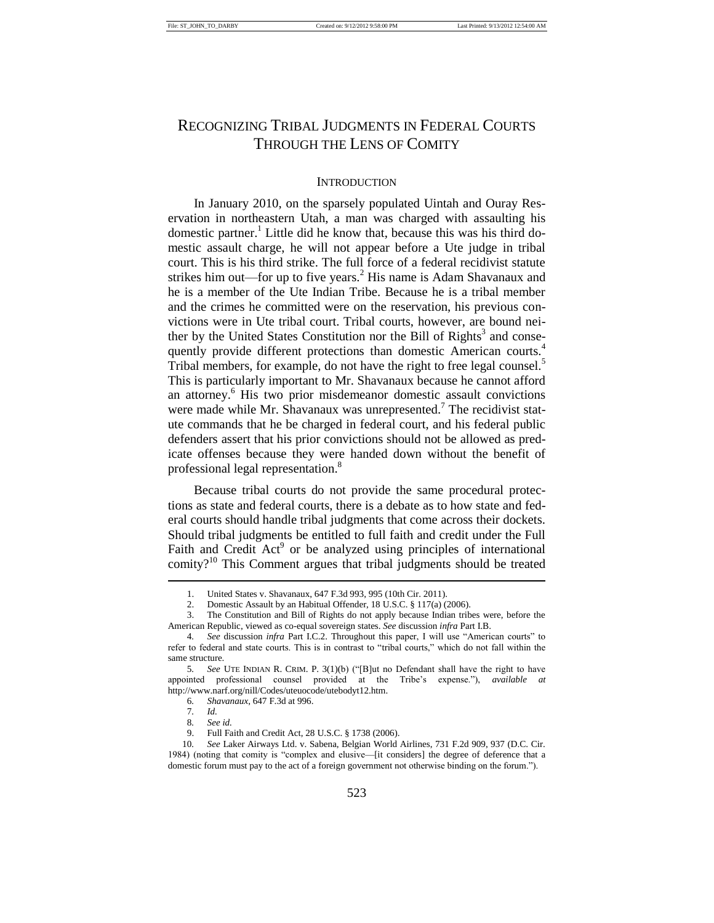# RECOGNIZING TRIBAL JUDGMENTS IN FEDERAL COURTS THROUGH THE LENS OF COMITY

### **INTRODUCTION**

In January 2010, on the sparsely populated Uintah and Ouray Reservation in northeastern Utah, a man was charged with assaulting his domestic partner. <sup>1</sup> Little did he know that, because this was his third domestic assault charge, he will not appear before a Ute judge in tribal court. This is his third strike. The full force of a federal recidivist statute strikes him out—for up to five years.<sup>2</sup> His name is Adam Shavanaux and he is a member of the Ute Indian Tribe. Because he is a tribal member and the crimes he committed were on the reservation, his previous convictions were in Ute tribal court. Tribal courts, however, are bound neither by the United States Constitution nor the Bill of Rights<sup>3</sup> and consequently provide different protections than domestic American courts.<sup>4</sup> Tribal members, for example, do not have the right to free legal counsel.<sup>5</sup> This is particularly important to Mr. Shavanaux because he cannot afford an attorney. <sup>6</sup> His two prior misdemeanor domestic assault convictions were made while Mr. Shavanaux was unrepresented.<sup>7</sup> The recidivist statute commands that he be charged in federal court, and his federal public defenders assert that his prior convictions should not be allowed as predicate offenses because they were handed down without the benefit of professional legal representation.<sup>8</sup>

Because tribal courts do not provide the same procedural protections as state and federal courts, there is a debate as to how state and federal courts should handle tribal judgments that come across their dockets. Should tribal judgments be entitled to full faith and credit under the Full Faith and Credit Act<sup>9</sup> or be analyzed using principles of international comity?<sup>10</sup> This Comment argues that tribal judgments should be treated

<sup>1.</sup> United States v. Shavanaux, 647 F.3d 993, 995 (10th Cir. 2011).<br>2. Domestic Assault by an Habitual Offender, 18 U.S.C. § 117(a) (

<sup>2.</sup> Domestic Assault by an Habitual Offender, 18 U.S.C. § 117(a) (2006).

<sup>3.</sup> The Constitution and Bill of Rights do not apply because Indian tribes were, before the American Republic, viewed as co-equal sovereign states. *See* discussion *infra* Part I.B.

<sup>4</sup>*. See* discussion *infra* Part I.C.2. Throughout this paper, I will use "American courts" to refer to federal and state courts. This is in contrast to "tribal courts," which do not fall within the same structure.

<sup>5</sup>*. See* UTE INDIAN R. CRIM. P. 3(1)(b) ("[B]ut no Defendant shall have the right to have appointed professional counsel provided at the Tribe's expense."), *available at* http://www.narf.org/nill/Codes/uteuocode/utebodyt12.htm.

<sup>6</sup>*. Shavanaux*, 647 F.3d at 996.

<sup>7</sup>*. Id.*

<sup>8</sup>*. See id.*

<sup>9.</sup> Full Faith and Credit Act, 28 U.S.C. § 1738 (2006).

<sup>10</sup>*. See* Laker Airways Ltd. v. Sabena, Belgian World Airlines, 731 F.2d 909, 937 (D.C. Cir. 1984) (noting that comity is "complex and elusive—[it considers] the degree of deference that a domestic forum must pay to the act of a foreign government not otherwise binding on the forum.").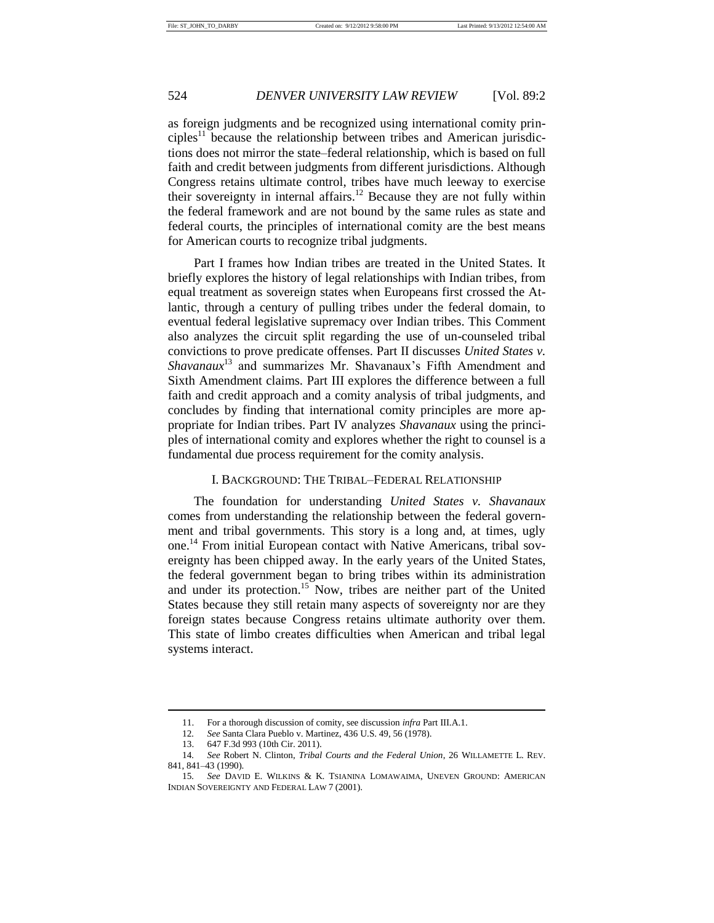as foreign judgments and be recognized using international comity prin $ciphers<sup>11</sup> because the relationship between triples and American jurisdic$ tions does not mirror the state–federal relationship, which is based on full faith and credit between judgments from different jurisdictions. Although Congress retains ultimate control, tribes have much leeway to exercise their sovereignty in internal affairs.<sup>12</sup> Because they are not fully within the federal framework and are not bound by the same rules as state and federal courts, the principles of international comity are the best means for American courts to recognize tribal judgments.

Part I frames how Indian tribes are treated in the United States. It briefly explores the history of legal relationships with Indian tribes, from equal treatment as sovereign states when Europeans first crossed the Atlantic, through a century of pulling tribes under the federal domain, to eventual federal legislative supremacy over Indian tribes. This Comment also analyzes the circuit split regarding the use of un-counseled tribal convictions to prove predicate offenses. Part II discusses *United States v. Shavanaux*<sup>13</sup> and summarizes Mr. Shavanaux's Fifth Amendment and Sixth Amendment claims. Part III explores the difference between a full faith and credit approach and a comity analysis of tribal judgments, and concludes by finding that international comity principles are more appropriate for Indian tribes. Part IV analyzes *Shavanaux* using the principles of international comity and explores whether the right to counsel is a fundamental due process requirement for the comity analysis.

## I. BACKGROUND: THE TRIBAL–FEDERAL RELATIONSHIP

The foundation for understanding *United States v. Shavanaux* comes from understanding the relationship between the federal government and tribal governments. This story is a long and, at times, ugly one.<sup>14</sup> From initial European contact with Native Americans, tribal sovereignty has been chipped away. In the early years of the United States, the federal government began to bring tribes within its administration and under its protection.<sup>15</sup> Now, tribes are neither part of the United States because they still retain many aspects of sovereignty nor are they foreign states because Congress retains ultimate authority over them. This state of limbo creates difficulties when American and tribal legal systems interact.

<sup>11.</sup> For a thorough discussion of comity, see discussion *infra* Part III.A.1.

<sup>12</sup>*. See* Santa Clara Pueblo v. Martinez, 436 U.S. 49, 56 (1978).

<sup>13.</sup> 647 F.3d 993 (10th Cir. 2011).

<sup>14</sup>*. See* Robert N. Clinton, *Tribal Courts and the Federal Union*, 26 WILLAMETTE L. REV. 841, 841–43 (1990).

<sup>15</sup>*. See* DAVID E. WILKINS & K. TSIANINA LOMAWAIMA, UNEVEN GROUND: AMERICAN INDIAN SOVEREIGNTY AND FEDERAL LAW 7 (2001).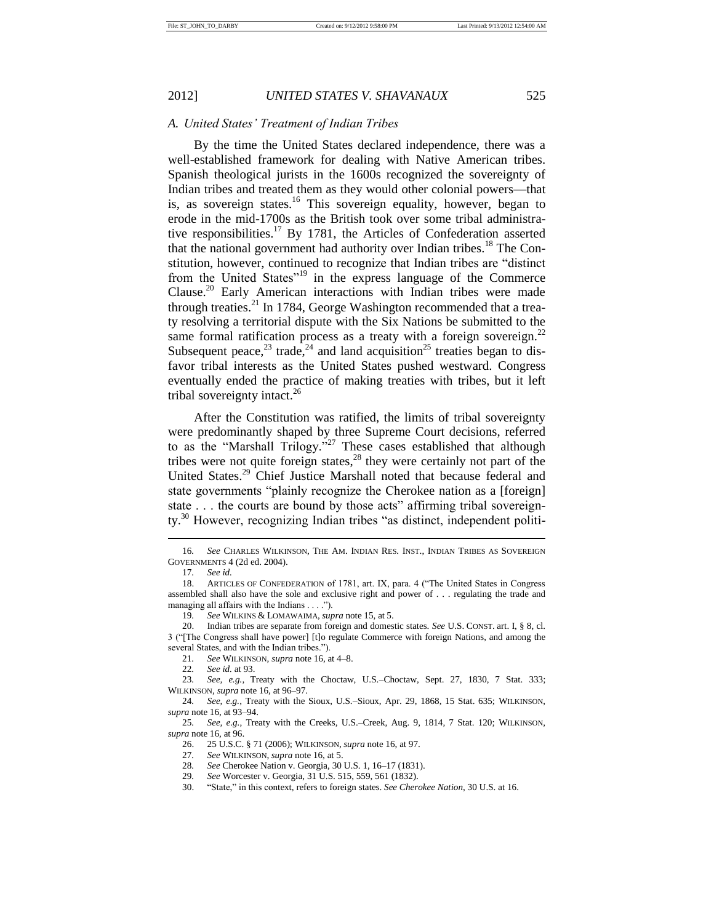### *A. United States' Treatment of Indian Tribes*

By the time the United States declared independence, there was a well-established framework for dealing with Native American tribes. Spanish theological jurists in the 1600s recognized the sovereignty of Indian tribes and treated them as they would other colonial powers—that is, as sovereign states.<sup>16</sup> This sovereign equality, however, began to erode in the mid-1700s as the British took over some tribal administrative responsibilities.<sup>17</sup> By 1781, the Articles of Confederation asserted that the national government had authority over Indian tribes.<sup>18</sup> The Constitution, however, continued to recognize that Indian tribes are "distinct from the United States<sup>"19</sup> in the express language of the Commerce Clause.<sup>20</sup> Early American interactions with Indian tribes were made through treaties.<sup>21</sup> In 1784, George Washington recommended that a treaty resolving a territorial dispute with the Six Nations be submitted to the same formal ratification process as a treaty with a foreign sovereign.<sup>22</sup> Subsequent peace,<sup>23</sup> trade,<sup>24</sup> and land acquisition<sup>25</sup> treaties began to disfavor tribal interests as the United States pushed westward. Congress eventually ended the practice of making treaties with tribes, but it left tribal sovereignty intact. $26$ 

After the Constitution was ratified, the limits of tribal sovereignty were predominantly shaped by three Supreme Court decisions, referred to as the "Marshall Trilogy."<sup>27</sup> These cases established that although tribes were not quite foreign states,  $28$  they were certainly not part of the United States.<sup>29</sup> Chief Justice Marshall noted that because federal and state governments "plainly recognize the Cherokee nation as a [foreign] state . . . the courts are bound by those acts" affirming tribal sovereignty.<sup>30</sup> However, recognizing Indian tribes "as distinct, independent politi-

<sup>16</sup>*. See* CHARLES WILKINSON, THE AM. INDIAN RES. INST., INDIAN TRIBES AS SOVEREIGN GOVERNMENTS 4 (2d ed. 2004).

<sup>17</sup>*. See id.*

<sup>18.</sup> ARTICLES OF CONFEDERATION of 1781, art. IX, para. 4 ("The United States in Congress assembled shall also have the sole and exclusive right and power of . . . regulating the trade and managing all affairs with the Indians . . . .").

<sup>19</sup>*. See* WILKINS & LOMAWAIMA, *supra* note 15, at 5.

<sup>20.</sup> Indian tribes are separate from foreign and domestic states. *See* U.S. CONST. art. I, § 8, cl. 3 ("[The Congress shall have power] [t]o regulate Commerce with foreign Nations, and among the several States, and with the Indian tribes.").

<sup>21</sup>*. See* WILKINSON, *supra* note 16, at 4–8.

<sup>22</sup>*. See id.* at 93. 23*. See, e.g.*, Treaty with the Choctaw, U.S.–Choctaw, Sept. 27, 1830, 7 Stat. 333; WILKINSON, *supra* note 16, at 96–97.

<sup>24</sup>*. See, e.g.*, Treaty with the Sioux, U.S.–Sioux, Apr. 29, 1868, 15 Stat. 635; WILKINSON, *supra* note 16, at 93–94.

<sup>25</sup>*. See, e.g.*, Treaty with the Creeks, U.S.–Creek, Aug. 9, 1814, 7 Stat. 120; WILKINSON, *supra* note 16, at 96.

<sup>26.</sup> 25 U.S.C. § 71 (2006); WILKINSON, *supra* note 16, at 97.

<sup>27</sup>*. See* WILKINSON, *supra* note 16, at 5.

<sup>28</sup>*. See* Cherokee Nation v. Georgia, 30 U.S. 1, 16–17 (1831).

<sup>29</sup>*. See* Worcester v. Georgia, 31 U.S. 515, 559, 561 (1832).

<sup>30.</sup> "State," in this context, refers to foreign states. *See Cherokee Nation*, 30 U.S. at 16.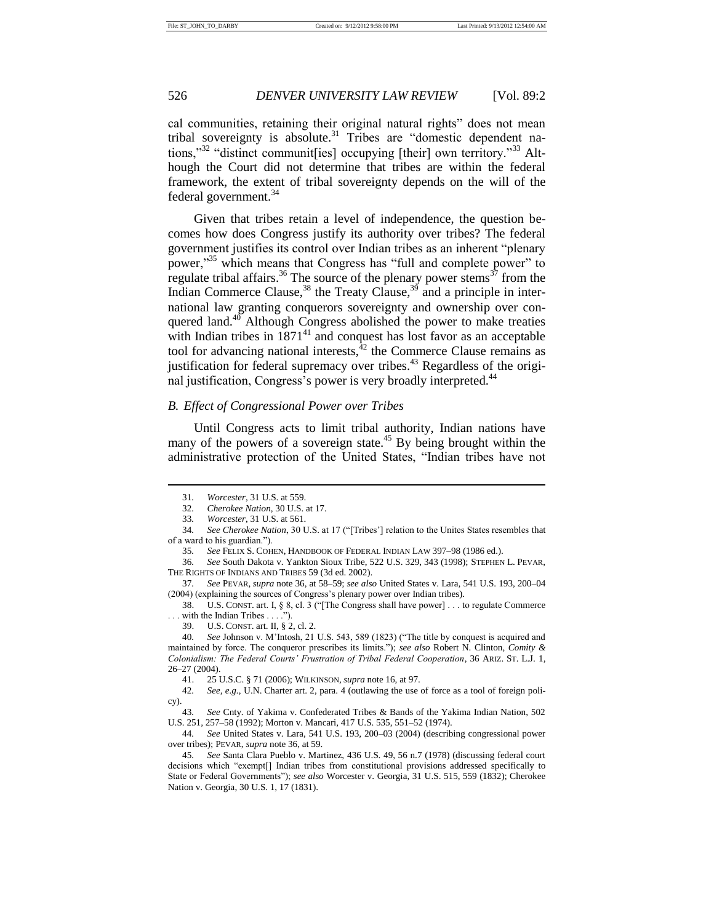cal communities, retaining their original natural rights" does not mean tribal sovereignty is absolute.<sup>31</sup> Tribes are "domestic dependent nations,"<sup>32</sup> "distinct communit [ies] occupying [their] own territory."<sup>33</sup> Although the Court did not determine that tribes are within the federal framework, the extent of tribal sovereignty depends on the will of the federal government.<sup>34</sup>

Given that tribes retain a level of independence, the question becomes how does Congress justify its authority over tribes? The federal government justifies its control over Indian tribes as an inherent "plenary power,"<sup>35</sup> which means that Congress has "full and complete power" to regulate tribal affairs.<sup>36</sup> The source of the plenary power stems<sup>37</sup> from the Indian Commerce Clause,  $38$  the Treaty Clause,  $39$  and a principle in international law granting conquerors sovereignty and ownership over conquered land.<sup>40</sup> Although Congress abolished the power to make treaties with Indian tribes in  $1871<sup>41</sup>$  and conquest has lost favor as an acceptable tool for advancing national interests, $42$  the Commerce Clause remains as justification for federal supremacy over tribes.<sup>43</sup> Regardless of the original justification, Congress's power is very broadly interpreted.<sup>44</sup>

#### *B. Effect of Congressional Power over Tribes*

Until Congress acts to limit tribal authority, Indian nations have many of the powers of a sovereign state.<sup>45</sup> By being brought within the administrative protection of the United States, "Indian tribes have not

<sup>31</sup>*. Worcester*, 31 U.S. at 559.

<sup>32</sup>*. Cherokee Nation*, 30 U.S. at 17.

<sup>33</sup>*. Worcester*, 31 U.S. at 561.

<sup>34</sup>*. See Cherokee Nation*, 30 U.S. at 17 ("[Tribes'] relation to the Unites States resembles that of a ward to his guardian.").

<sup>35</sup>*. See* FELIX S. COHEN, HANDBOOK OF FEDERAL INDIAN LAW 397–98 (1986 ed.).

<sup>36</sup>*. See* South Dakota v. Yankton Sioux Tribe, 522 U.S. 329, 343 (1998); STEPHEN L. PEVAR, THE RIGHTS OF INDIANS AND TRIBES 59 (3d ed. 2002).

<sup>37</sup>*. See* PEVAR, *supra* note 36, at 58–59; *see also* United States v. Lara, 541 U.S. 193, 200–04 (2004) (explaining the sources of Congress's plenary power over Indian tribes).

<sup>38.</sup> U.S. CONST. art. I, § 8, cl. 3 ("[The Congress shall have power] . . . to regulate Commerce with the Indian Tribes . . . .").

<sup>39.</sup> U.S. CONST. art. II, § 2, cl. 2.

<sup>40</sup>*. See* Johnson v. M'Intosh, 21 U.S. 543, 589 (1823) ("The title by conquest is acquired and maintained by force. The conqueror prescribes its limits."); *see also* Robert N. Clinton, *Comity & Colonialism: The Federal Courts' Frustration of Tribal Federal Cooperation*, 36 ARIZ. ST. L.J. 1, 26–27 (2004).

<sup>41.</sup> 25 U.S.C. § 71 (2006); WILKINSON, *supra* note 16, at 97.

<sup>42</sup>*. See*, *e.g.*, U.N. Charter art. 2, para. 4 (outlawing the use of force as a tool of foreign policy).

<sup>43</sup>*. See* Cnty. of Yakima v. Confederated Tribes & Bands of the Yakima Indian Nation, 502 U.S. 251, 257–58 (1992); Morton v. Mancari, 417 U.S. 535, 551–52 (1974).

<sup>44</sup>*. See* United States v. Lara, 541 U.S. 193, 200–03 (2004) (describing congressional power over tribes); PEVAR, *supra* note 36, at 59.

<sup>45</sup>*. See* Santa Clara Pueblo v. Martinez, 436 U.S. 49, 56 n.7 (1978) (discussing federal court decisions which "exempt[] Indian tribes from constitutional provisions addressed specifically to State or Federal Governments"); *see also* Worcester v. Georgia, 31 U.S. 515, 559 (1832); Cherokee Nation v. Georgia, 30 U.S. 1, 17 (1831).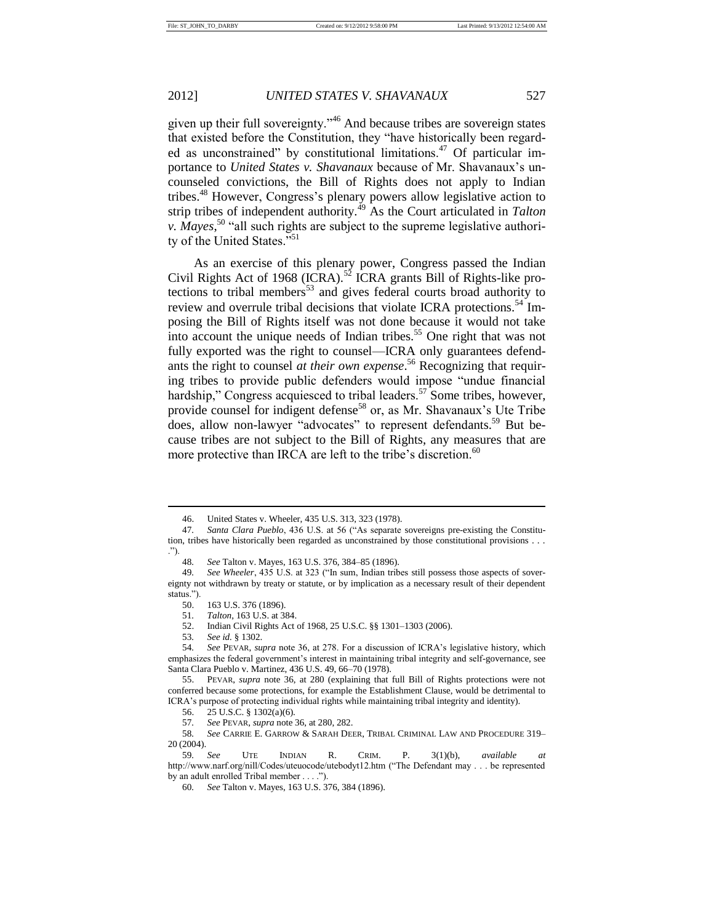given up their full sovereignty."<sup>46</sup> And because tribes are sovereign states that existed before the Constitution, they "have historically been regarded as unconstrained" by constitutional limitations. $47$  Of particular importance to *United States v. Shavanaux* because of Mr. Shavanaux's uncounseled convictions, the Bill of Rights does not apply to Indian tribes.<sup>48</sup> However, Congress's plenary powers allow legislative action to strip tribes of independent authority.<sup>49</sup> As the Court articulated in *Talton v. Mayes*,<sup>50</sup> "all such rights are subject to the supreme legislative authority of the United States."<sup>51</sup>

As an exercise of this plenary power, Congress passed the Indian Civil Rights Act of 1968 (ICRA).<sup>52</sup> ICRA grants Bill of Rights-like protections to tribal members $53$  and gives federal courts broad authority to review and overrule tribal decisions that violate ICRA protections.<sup>54</sup> Imposing the Bill of Rights itself was not done because it would not take into account the unique needs of Indian tribes.<sup>55</sup> One right that was not fully exported was the right to counsel—ICRA only guarantees defendants the right to counsel *at their own expense*. <sup>56</sup> Recognizing that requiring tribes to provide public defenders would impose "undue financial hardship," Congress acquiesced to tribal leaders.<sup>57</sup> Some tribes, however, provide counsel for indigent defense<sup>58</sup> or, as Mr. Shavanaux's Ute Tribe does, allow non-lawyer "advocates" to represent defendants.<sup>59</sup> But because tribes are not subject to the Bill of Rights, any measures that are more protective than IRCA are left to the tribe's discretion.<sup>60</sup>

53*. See id.* § 1302.

<sup>46.</sup> United States v. Wheeler, 435 U.S. 313, 323 (1978).

<sup>47</sup>*. Santa Clara Pueblo*, 436 U.S. at 56 ("As separate sovereigns pre-existing the Constitution, tribes have historically been regarded as unconstrained by those constitutional provisions . . . .").

<sup>48</sup>*. See* Talton v. Mayes, 163 U.S. 376, 384–85 (1896).

<sup>49</sup>*. See Wheeler*, 435 U.S. at 323 ("In sum, Indian tribes still possess those aspects of sovereignty not withdrawn by treaty or statute, or by implication as a necessary result of their dependent status.").<br> $50.$ 

<sup>163</sup> U.S. 376 (1896).

<sup>51</sup>*. Talton*, 163 U.S. at 384.

<sup>52.</sup> Indian Civil Rights Act of 1968, 25 U.S.C. §§ 1301–1303 (2006).

<sup>54</sup>*. See* PEVAR, *supra* note 36, at 278. For a discussion of ICRA's legislative history, which emphasizes the federal government's interest in maintaining tribal integrity and self-governance, see Santa Clara Pueblo v. Martinez, 436 U.S. 49, 66–70 (1978).

<sup>55.</sup> PEVAR, *supra* note 36, at 280 (explaining that full Bill of Rights protections were not conferred because some protections, for example the Establishment Clause, would be detrimental to ICRA's purpose of protecting individual rights while maintaining tribal integrity and identity).

<sup>56.</sup> 25 U.S.C. § 1302(a)(6).

<sup>57</sup>*. See* PEVAR, *supra* note 36, at 280, 282.

<sup>58</sup>*. See* CARRIE E. GARROW & SARAH DEER, TRIBAL CRIMINAL LAW AND PROCEDURE 319– 20 (2004).

<sup>59</sup>*. See* UTE INDIAN R. CRIM. P. 3(1)(b), *available at* http://www.narf.org/nill/Codes/uteuocode/utebodyt12.htm ("The Defendant may . . . be represented by an adult enrolled Tribal member . . . .").

<sup>60</sup>*. See* Talton v. Mayes, 163 U.S. 376, 384 (1896).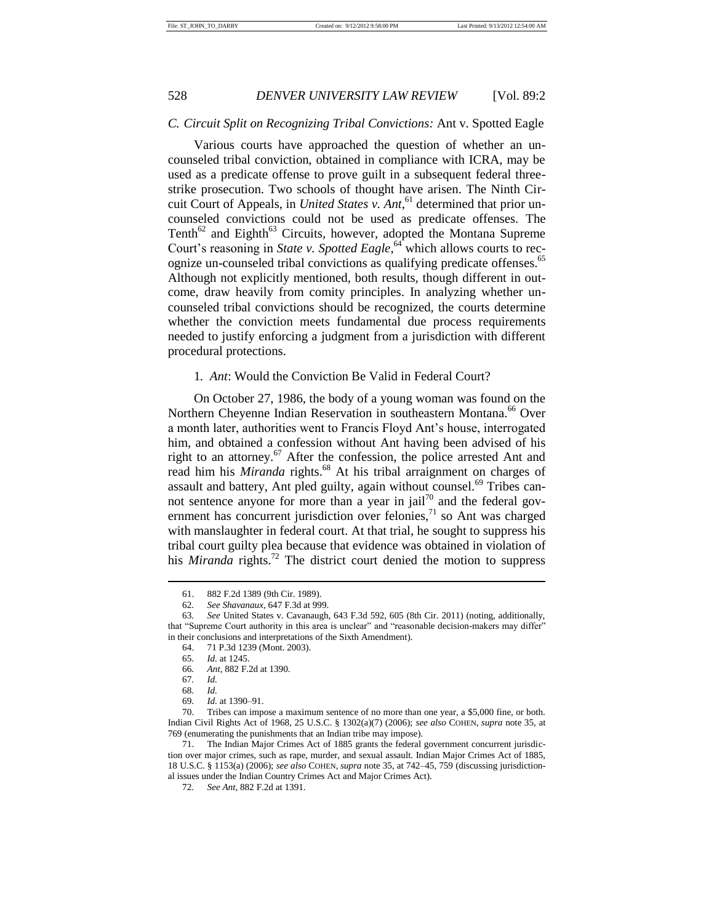### *C. Circuit Split on Recognizing Tribal Convictions:* Ant v. Spotted Eagle

Various courts have approached the question of whether an uncounseled tribal conviction, obtained in compliance with ICRA, may be used as a predicate offense to prove guilt in a subsequent federal threestrike prosecution. Two schools of thought have arisen. The Ninth Circuit Court of Appeals, in *United States v. Ant*, <sup>61</sup> determined that prior uncounseled convictions could not be used as predicate offenses. The Tenth<sup>62</sup> and Eighth<sup>63</sup> Circuits, however, adopted the Montana Supreme Court's reasoning in *State v. Spotted Eagle*,<sup>64</sup> which allows courts to recognize un-counseled tribal convictions as qualifying predicate offenses.<sup>65</sup> Although not explicitly mentioned, both results, though different in outcome, draw heavily from comity principles. In analyzing whether uncounseled tribal convictions should be recognized, the courts determine whether the conviction meets fundamental due process requirements needed to justify enforcing a judgment from a jurisdiction with different procedural protections.

### 1*. Ant*: Would the Conviction Be Valid in Federal Court?

On October 27, 1986, the body of a young woman was found on the Northern Cheyenne Indian Reservation in southeastern Montana.<sup>66</sup> Over a month later, authorities went to Francis Floyd Ant's house, interrogated him, and obtained a confession without Ant having been advised of his right to an attorney.<sup>67</sup> After the confession, the police arrested Ant and read him his *Miranda* rights.<sup>68</sup> At his tribal arraignment on charges of assault and battery, Ant pled guilty, again without counsel.<sup>69</sup> Tribes cannot sentence anyone for more than a year in jail<sup>70</sup> and the federal government has concurrent jurisdiction over felonies, $^{71}$  so Ant was charged with manslaughter in federal court. At that trial, he sought to suppress his tribal court guilty plea because that evidence was obtained in violation of his *Miranda* rights.<sup>72</sup> The district court denied the motion to suppress

<sup>61.</sup> 882 F.2d 1389 (9th Cir. 1989).

<sup>62</sup>*. See Shavanaux*, 647 F.3d at 999.

<sup>63</sup>*. See* United States v. Cavanaugh, 643 F.3d 592, 605 (8th Cir. 2011) (noting, additionally, that "Supreme Court authority in this area is unclear" and "reasonable decision-makers may differ" in their conclusions and interpretations of the Sixth Amendment).

<sup>64.</sup> 71 P.3d 1239 (Mont. 2003).

<sup>65</sup>*. Id.* at 1245.

<sup>66</sup>*. Ant*, 882 F.2d at 1390.

<sup>67</sup>*. Id.*

<sup>68</sup>*. Id.*

<sup>69</sup>*. Id.* at 1390–91.

<sup>70.</sup> Tribes can impose a maximum sentence of no more than one year, a \$5,000 fine, or both. Indian Civil Rights Act of 1968, 25 U.S.C. § 1302(a)(7) (2006); *see also* COHEN, *supra* note 35, at 769 (enumerating the punishments that an Indian tribe may impose).

<sup>71.</sup> The Indian Major Crimes Act of 1885 grants the federal government concurrent jurisdiction over major crimes, such as rape, murder, and sexual assault. Indian Major Crimes Act of 1885, 18 U.S.C. § 1153(a) (2006); *see also* COHEN, *supra* note 35, at 742–45, 759 (discussing jurisdictional issues under the Indian Country Crimes Act and Major Crimes Act).

<sup>72</sup>*. See Ant*, 882 F.2d at 1391.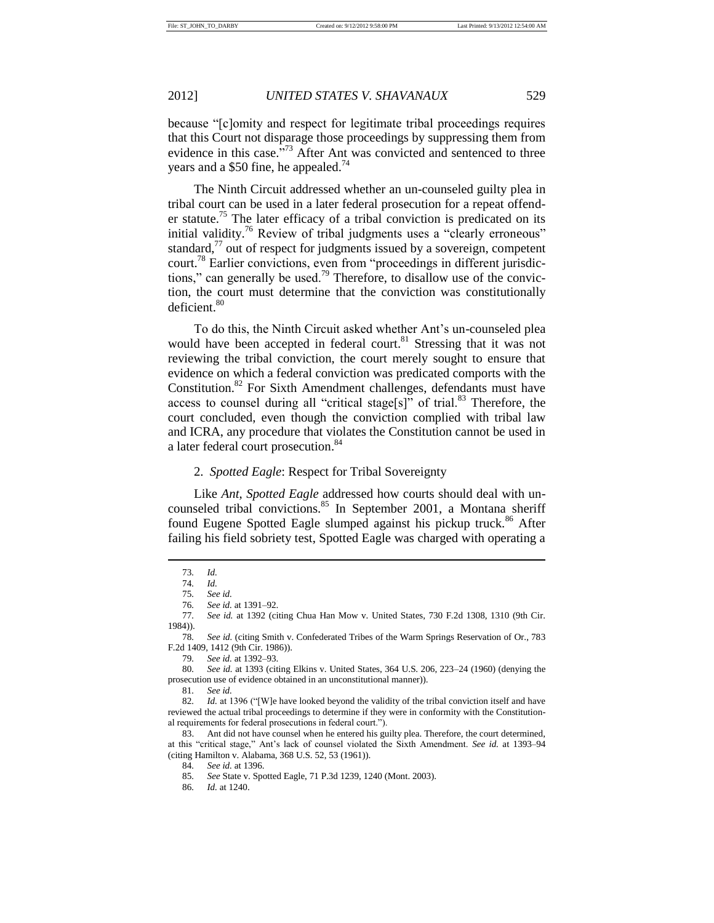because "[c]omity and respect for legitimate tribal proceedings requires that this Court not disparage those proceedings by suppressing them from evidence in this case.<sup>573</sup> After Ant was convicted and sentenced to three years and a \$50 fine, he appealed.<sup>74</sup>

The Ninth Circuit addressed whether an un-counseled guilty plea in tribal court can be used in a later federal prosecution for a repeat offender statute.<sup>75</sup> The later efficacy of a tribal conviction is predicated on its initial validity.<sup>76</sup> Review of tribal judgments uses a "clearly erroneous" standard, $^{77}$  out of respect for judgments issued by a sovereign, competent court.<sup>78</sup> Earlier convictions, even from "proceedings in different jurisdictions," can generally be used.<sup>79</sup> Therefore, to disallow use of the conviction, the court must determine that the conviction was constitutionally deficient.<sup>80</sup>

To do this, the Ninth Circuit asked whether Ant's un-counseled plea would have been accepted in federal court.<sup>81</sup> Stressing that it was not reviewing the tribal conviction, the court merely sought to ensure that evidence on which a federal conviction was predicated comports with the Constitution.<sup>82</sup> For Sixth Amendment challenges, defendants must have access to counsel during all "critical stage[s]" of trial.<sup>83</sup> Therefore, the court concluded, even though the conviction complied with tribal law and ICRA, any procedure that violates the Constitution cannot be used in a later federal court prosecution. 84

## 2. *Spotted Eagle*: Respect for Tribal Sovereignty

Like *Ant*, *Spotted Eagle* addressed how courts should deal with uncounseled tribal convictions.<sup>85</sup> In September 2001, a Montana sheriff found Eugene Spotted Eagle slumped against his pickup truck.<sup>86</sup> After failing his field sobriety test, Spotted Eagle was charged with operating a

77*. See id.* at 1392 (citing Chua Han Mow v. United States, 730 F.2d 1308, 1310 (9th Cir. 1984)).

78*. See id.* (citing Smith v. Confederated Tribes of the Warm Springs Reservation of Or., 783 F.2d 1409, 1412 (9th Cir. 1986)).

80*. See id.* at 1393 (citing Elkins v. United States, 364 U.S. 206, 223–24 (1960) (denying the prosecution use of evidence obtained in an unconstitutional manner)).

<sup>73</sup>*. Id.*

<sup>74</sup>*. Id.*

<sup>75</sup>*. See id.*

<sup>76</sup>*. See id.* at 1391–92.

<sup>79</sup>*. See id.* at 1392–93.

<sup>81</sup>*. See id.*

<sup>82</sup>*. Id.* at 1396 ("[W]e have looked beyond the validity of the tribal conviction itself and have reviewed the actual tribal proceedings to determine if they were in conformity with the Constitutional requirements for federal prosecutions in federal court.").

<sup>83.</sup> Ant did not have counsel when he entered his guilty plea. Therefore, the court determined, at this "critical stage," Ant's lack of counsel violated the Sixth Amendment. *See id.* at 1393–94 (citing Hamilton v. Alabama, 368 U.S. 52, 53 (1961)).

<sup>84</sup>*. See id.* at 1396.

<sup>85</sup>*. See* State v. Spotted Eagle, 71 P.3d 1239, 1240 (Mont. 2003).

<sup>86</sup>*. Id.* at 1240.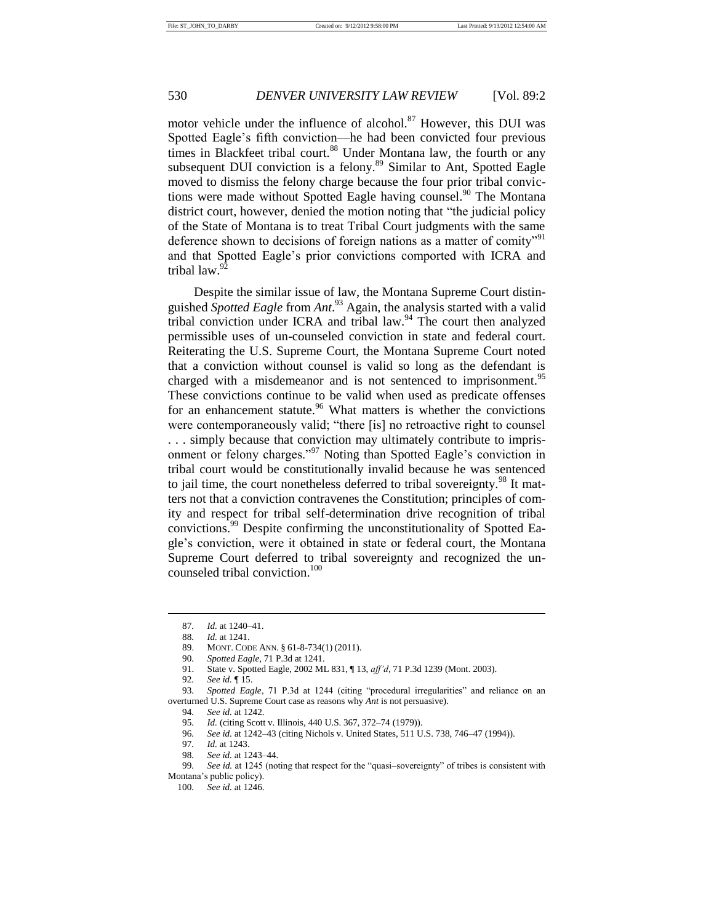motor vehicle under the influence of alcohol. $87$  However, this DUI was Spotted Eagle's fifth conviction—he had been convicted four previous times in Blackfeet tribal court.<sup>88</sup> Under Montana law, the fourth or any subsequent DUI conviction is a felony. $89$  Similar to Ant, Spotted Eagle moved to dismiss the felony charge because the four prior tribal convictions were made without Spotted Eagle having counsel.<sup>90</sup> The Montana district court, however, denied the motion noting that "the judicial policy of the State of Montana is to treat Tribal Court judgments with the same deference shown to decisions of foreign nations as a matter of comity<sup>"91</sup> and that Spotted Eagle's prior convictions comported with ICRA and tribal law. $\frac{5}{2}$ 

Despite the similar issue of law, the Montana Supreme Court distinguished *Spotted Eagle* from *Ant*. <sup>93</sup> Again, the analysis started with a valid tribal conviction under ICRA and tribal law. $94$  The court then analyzed permissible uses of un-counseled conviction in state and federal court. Reiterating the U.S. Supreme Court, the Montana Supreme Court noted that a conviction without counsel is valid so long as the defendant is charged with a misdemeanor and is not sentenced to imprisonment.<sup>95</sup> These convictions continue to be valid when used as predicate offenses for an enhancement statute.<sup>96</sup> What matters is whether the convictions were contemporaneously valid; "there [is] no retroactive right to counsel . . . simply because that conviction may ultimately contribute to imprisonment or felony charges."<sup>97</sup> Noting than Spotted Eagle's conviction in tribal court would be constitutionally invalid because he was sentenced to jail time, the court nonetheless deferred to tribal sovereignty.<sup>98</sup> It matters not that a conviction contravenes the Constitution; principles of comity and respect for tribal self-determination drive recognition of tribal convictions.<sup>99</sup> Despite confirming the unconstitutionality of Spotted Eagle's conviction, were it obtained in state or federal court, the Montana Supreme Court deferred to tribal sovereignty and recognized the uncounseled tribal conviction.<sup>100</sup>

92*. See id.* ¶ 15.

<sup>87</sup>*. Id.* at 1240–41.

<sup>88</sup>*. Id.* at 1241.

<sup>89.</sup> MONT. CODE ANN. § 61-8-734(1) (2011).

<sup>90</sup>*. Spotted Eagle*, 71 P.3d at 1241.

<sup>91.</sup> State v. Spotted Eagle, 2002 ML 831, ¶ 13, *aff'd*, 71 P.3d 1239 (Mont. 2003).

<sup>93</sup>*. Spotted Eagle*, 71 P.3d at 1244 (citing "procedural irregularities" and reliance on an overturned U.S. Supreme Court case as reasons why *Ant* is not persuasive).

<sup>94</sup>*. See id.* at 1242.

<sup>95</sup>*. Id.* (citing Scott v. Illinois, 440 U.S. 367, 372–74 (1979)).

<sup>96</sup>*. See id.* at 1242–43 (citing Nichols v. United States, 511 U.S. 738, 746–47 (1994)).

<sup>97</sup>*. Id.* at 1243.

<sup>98</sup>*. See id.* at 1243–44.

<sup>99</sup>*. See id.* at 1245 (noting that respect for the "quasi–sovereignty" of tribes is consistent with Montana's public policy).

<sup>100</sup>*. See id.* at 1246.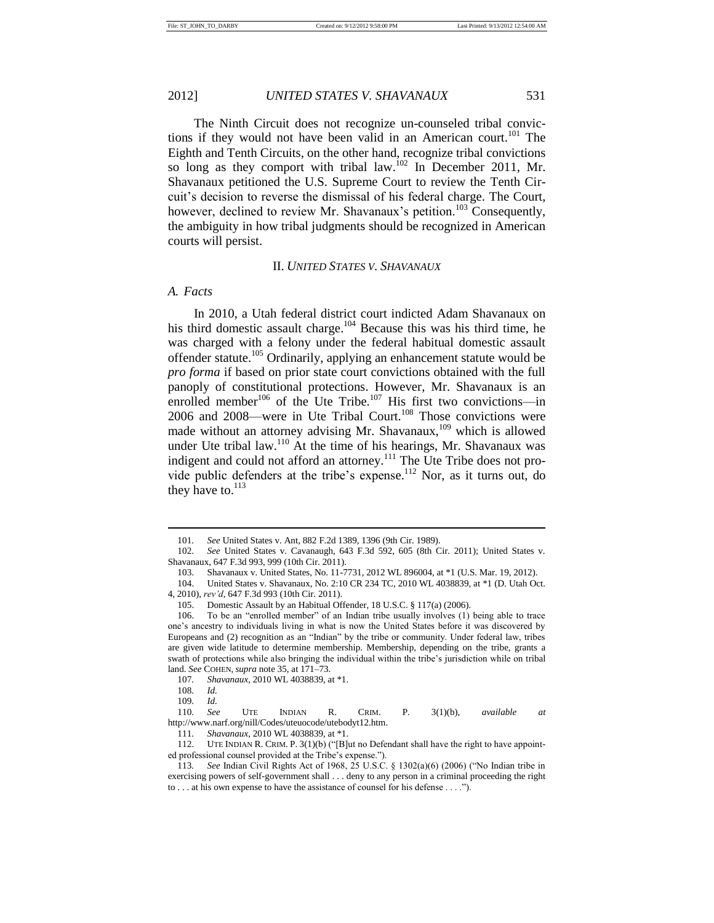The Ninth Circuit does not recognize un-counseled tribal convictions if they would not have been valid in an American court.<sup>101</sup> The Eighth and Tenth Circuits, on the other hand, recognize tribal convictions so long as they comport with tribal law.<sup>102</sup> In December 2011, Mr. Shavanaux petitioned the U.S. Supreme Court to review the Tenth Circuit's decision to reverse the dismissal of his federal charge. The Court, however, declined to review Mr. Shavanaux's petition.<sup>103</sup> Consequently, the ambiguity in how tribal judgments should be recognized in American courts will persist.

### II. *UNITED STATES V. SHAVANAUX*

### *A. Facts*

In 2010, a Utah federal district court indicted Adam Shavanaux on his third domestic assault charge. <sup>104</sup> Because this was his third time, he was charged with a felony under the federal habitual domestic assault offender statute.<sup>105</sup> Ordinarily, applying an enhancement statute would be *pro forma* if based on prior state court convictions obtained with the full panoply of constitutional protections. However, Mr. Shavanaux is an enrolled member<sup>106</sup> of the Ute Tribe.<sup>107</sup> His first two convictions—in  $2006$  and  $2008$ —were in Ute Tribal Court.<sup>108</sup> Those convictions were made without an attorney advising Mr. Shavanaux,<sup>109</sup> which is allowed under Ute tribal law.<sup>110</sup> At the time of his hearings, Mr. Shavanaux was indigent and could not afford an attorney.<sup>111</sup> The Ute Tribe does not provide public defenders at the tribe's expense.<sup>112</sup> Nor, as it turns out, do they have to. $^{113}$ 

<sup>101</sup>*. See* United States v. Ant, 882 F.2d 1389, 1396 (9th Cir. 1989).

See United States v. Cavanaugh, 643 F.3d 592, 605 (8th Cir. 2011); United States v. Shavanaux, 647 F.3d 993, 999 (10th Cir. 2011).

<sup>103.</sup> Shavanaux v. United States, No. 11-7731, 2012 WL 896004, at \*1 (U.S. Mar. 19, 2012).

<sup>104.</sup> United States v. Shavanaux, No. 2:10 CR 234 TC, 2010 WL 4038839, at \*1 (D. Utah Oct. 4, 2010), *rev'd*, 647 F.3d 993 (10th Cir. 2011).

<sup>105.</sup> Domestic Assault by an Habitual Offender, 18 U.S.C. § 117(a) (2006).

<sup>106.</sup> To be an "enrolled member" of an Indian tribe usually involves (1) being able to trace one's ancestry to individuals living in what is now the United States before it was discovered by Europeans and (2) recognition as an "Indian" by the tribe or community. Under federal law, tribes are given wide latitude to determine membership. Membership, depending on the tribe, grants a swath of protections while also bringing the individual within the tribe's jurisdiction while on tribal land. *See* COHEN, *supra* note 35, at 171–73.

<sup>107</sup>*. Shavanaux*, 2010 WL 4038839, at \*1.

<sup>108</sup>*. Id.*

<sup>109</sup>*. Id.*

<sup>110</sup>*. See* UTE INDIAN R. CRIM. P. 3(1)(b), *available at* http://www.narf.org/nill/Codes/uteuocode/utebodyt12.htm.

<sup>111</sup>*. Shavanaux*, 2010 WL 4038839, at \*1.

<sup>112.</sup> UTE INDIAN R. CRIM. P. 3(1)(b) ("[B]ut no Defendant shall have the right to have appointed professional counsel provided at the Tribe's expense.").

<sup>113</sup>*. See* Indian Civil Rights Act of 1968, 25 U.S.C. § 1302(a)(6) (2006) ("No Indian tribe in exercising powers of self-government shall . . . deny to any person in a criminal proceeding the right to . . . at his own expense to have the assistance of counsel for his defense . . . .").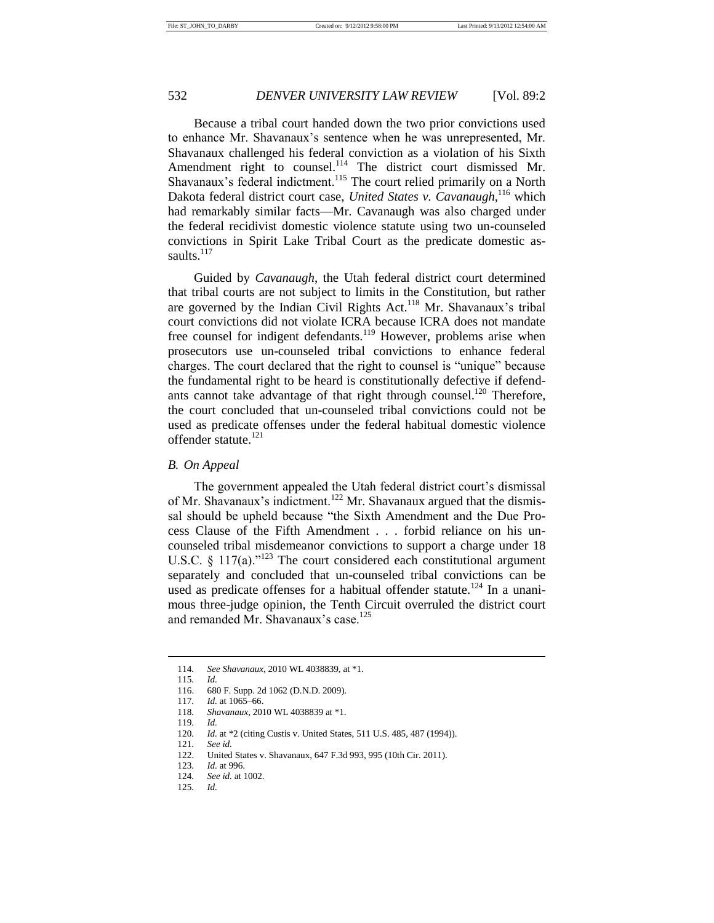Because a tribal court handed down the two prior convictions used to enhance Mr. Shavanaux's sentence when he was unrepresented, Mr. Shavanaux challenged his federal conviction as a violation of his Sixth Amendment right to counsel.<sup>114</sup> The district court dismissed Mr. Shavanaux's federal indictment.<sup>115</sup> The court relied primarily on a North Dakota federal district court case, *United States v. Cavanaugh*,<sup>116</sup> which had remarkably similar facts—Mr. Cavanaugh was also charged under the federal recidivist domestic violence statute using two un-counseled convictions in Spirit Lake Tribal Court as the predicate domestic assaults.<sup>117</sup>

Guided by *Cavanaugh*, the Utah federal district court determined that tribal courts are not subject to limits in the Constitution, but rather are governed by the Indian Civil Rights Act.<sup>118</sup> Mr. Shavanaux's tribal court convictions did not violate ICRA because ICRA does not mandate free counsel for indigent defendants.<sup>119</sup> However, problems arise when prosecutors use un-counseled tribal convictions to enhance federal charges. The court declared that the right to counsel is "unique" because the fundamental right to be heard is constitutionally defective if defendants cannot take advantage of that right through counsel.<sup>120</sup> Therefore, the court concluded that un-counseled tribal convictions could not be used as predicate offenses under the federal habitual domestic violence offender statute.<sup>121</sup>

### *B. On Appeal*

The government appealed the Utah federal district court's dismissal of Mr. Shavanaux's indictment.<sup>122</sup> Mr. Shavanaux argued that the dismissal should be upheld because "the Sixth Amendment and the Due Process Clause of the Fifth Amendment . . . forbid reliance on his uncounseled tribal misdemeanor convictions to support a charge under 18 U.S.C. § 117(a)."<sup>123</sup> The court considered each constitutional argument separately and concluded that un-counseled tribal convictions can be used as predicate offenses for a habitual offender statute.<sup>124</sup> In a unanimous three-judge opinion, the Tenth Circuit overruled the district court and remanded Mr. Shavanaux's case.<sup>125</sup>

123*. Id.* at 996.

<sup>114</sup>*. See Shavanaux*, 2010 WL 4038839, at \*1.

<sup>115</sup>*. Id.*

<sup>116.</sup> 680 F. Supp. 2d 1062 (D.N.D. 2009).

<sup>117</sup>*. Id.* at 1065–66.

<sup>118</sup>*. Shavanaux*, 2010 WL 4038839 at \*1.

<sup>119</sup>*. Id.*

<sup>120</sup>*. Id.* at \*2 (citing Custis v. United States, 511 U.S. 485, 487 (1994)).

<sup>121</sup>*. See id.*

<sup>122.</sup> United States v. Shavanaux, 647 F.3d 993, 995 (10th Cir. 2011).

<sup>124</sup>*. See id.* at 1002.

<sup>125</sup>*. Id.*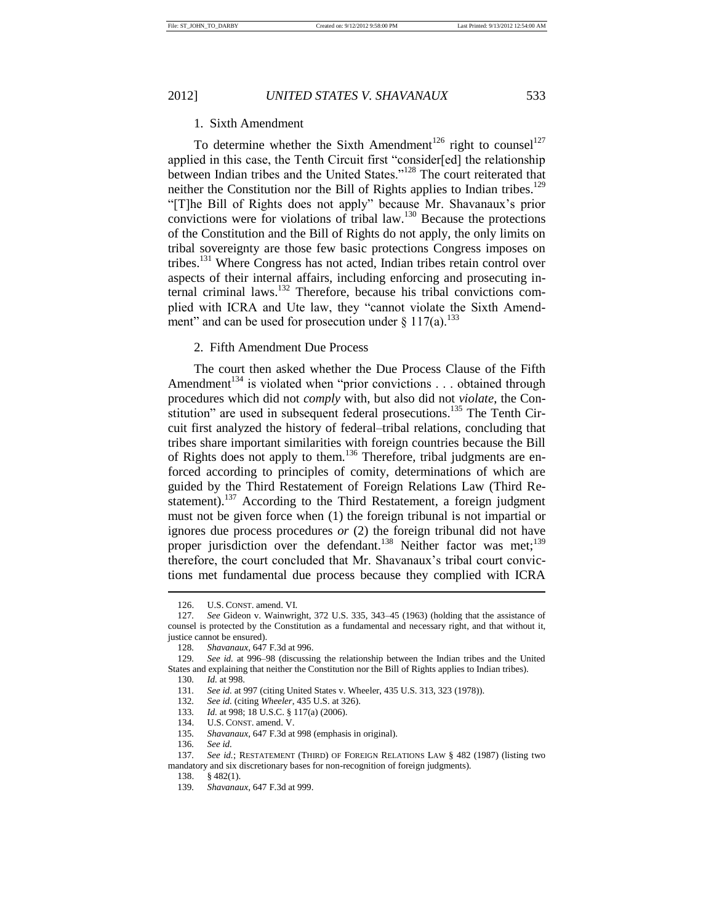### 1. Sixth Amendment

To determine whether the Sixth Amendment<sup>126</sup> right to counsel<sup>127</sup> applied in this case, the Tenth Circuit first "consider[ed] the relationship between Indian tribes and the United States."<sup>128</sup> The court reiterated that neither the Constitution nor the Bill of Rights applies to Indian tribes.<sup>129</sup> "[T]he Bill of Rights does not apply" because Mr. Shavanaux's prior convictions were for violations of tribal law.<sup>130</sup> Because the protections of the Constitution and the Bill of Rights do not apply, the only limits on tribal sovereignty are those few basic protections Congress imposes on tribes.<sup>131</sup> Where Congress has not acted, Indian tribes retain control over aspects of their internal affairs, including enforcing and prosecuting internal criminal laws.<sup>132</sup> Therefore, because his tribal convictions complied with ICRA and Ute law, they "cannot violate the Sixth Amendment" and can be used for prosecution under  $\S 117(a)$ .<sup>133</sup>

# 2. Fifth Amendment Due Process

The court then asked whether the Due Process Clause of the Fifth Amendment<sup>134</sup> is violated when "prior convictions . . . obtained through procedures which did not *comply* with, but also did not *violate*, the Constitution" are used in subsequent federal prosecutions.<sup>135</sup> The Tenth Circuit first analyzed the history of federal–tribal relations, concluding that tribes share important similarities with foreign countries because the Bill of Rights does not apply to them.<sup>136</sup> Therefore, tribal judgments are enforced according to principles of comity, determinations of which are guided by the Third Restatement of Foreign Relations Law (Third Restatement).<sup>137</sup> According to the Third Restatement, a foreign judgment must not be given force when (1) the foreign tribunal is not impartial or ignores due process procedures *or* (2) the foreign tribunal did not have proper jurisdiction over the defendant.<sup>138</sup> Neither factor was met;<sup>139</sup> therefore, the court concluded that Mr. Shavanaux's tribal court convictions met fundamental due process because they complied with ICRA

<sup>126.</sup> U.S. CONST. amend. VI.

<sup>127</sup>*. See* Gideon v. Wainwright, 372 U.S. 335, 343–45 (1963) (holding that the assistance of counsel is protected by the Constitution as a fundamental and necessary right, and that without it, justice cannot be ensured).

<sup>128</sup>*. Shavanaux*, 647 F.3d at 996.

<sup>129</sup>*. See id.* at 996–98 (discussing the relationship between the Indian tribes and the United States and explaining that neither the Constitution nor the Bill of Rights applies to Indian tribes).

<sup>130</sup>*. Id.* at 998.

<sup>131</sup>*. See id.* at 997 (citing United States v. Wheeler, 435 U.S. 313, 323 (1978)).

<sup>132</sup>*. See id.* (citing *Wheeler*, 435 U.S. at 326).

<sup>133</sup>*. Id.* at 998; 18 U.S.C. § 117(a) (2006).

<sup>134.</sup> U.S. CONST. amend. V.

<sup>135</sup>*. Shavanaux*, 647 F.3d at 998 (emphasis in original).

<sup>136</sup>*. See id.*

<sup>137</sup>*. See id.*; RESTATEMENT (THIRD) OF FOREIGN RELATIONS LAW § 482 (1987) (listing two mandatory and six discretionary bases for non-recognition of foreign judgments).

<sup>138.</sup> § 482(1).

<sup>139</sup>*. Shavanaux*, 647 F.3d at 999.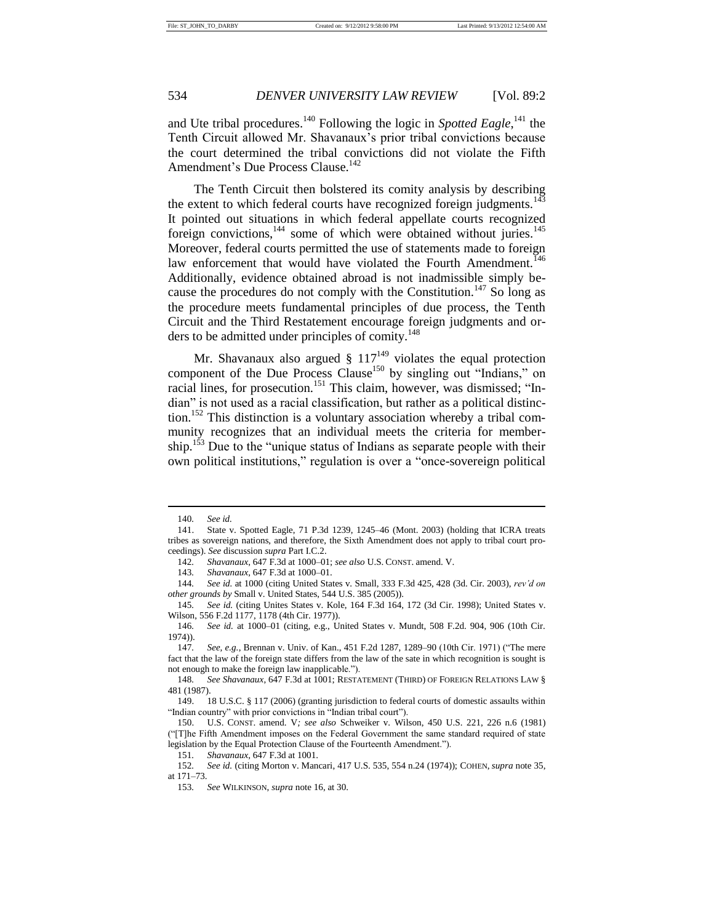and Ute tribal procedures.<sup>140</sup> Following the logic in *Spotted Eagle*,<sup>141</sup> the Tenth Circuit allowed Mr. Shavanaux's prior tribal convictions because the court determined the tribal convictions did not violate the Fifth Amendment's Due Process Clause.<sup>142</sup>

The Tenth Circuit then bolstered its comity analysis by describing the extent to which federal courts have recognized foreign judgments.<sup>143</sup> It pointed out situations in which federal appellate courts recognized foreign convictions, $144$  some of which were obtained without juries. $145$ Moreover, federal courts permitted the use of statements made to foreign law enforcement that would have violated the Fourth Amendment.<sup>146</sup> Additionally, evidence obtained abroad is not inadmissible simply because the procedures do not comply with the Constitution.<sup>147</sup> So long as the procedure meets fundamental principles of due process, the Tenth Circuit and the Third Restatement encourage foreign judgments and orders to be admitted under principles of comity.<sup>148</sup>

Mr. Shavanaux also argued  $\S 117^{149}$  violates the equal protection component of the Due Process Clause<sup>150</sup> by singling out "Indians," on racial lines, for prosecution.<sup>151</sup> This claim, however, was dismissed; "Indian" is not used as a racial classification, but rather as a political distinction.<sup>152</sup> This distinction is a voluntary association whereby a tribal community recognizes that an individual meets the criteria for membership.<sup>153</sup> Due to the "unique status of Indians as separate people with their own political institutions," regulation is over a "once-sovereign political

<sup>140</sup>*. See id.*

<sup>141.</sup> State v. Spotted Eagle, 71 P.3d 1239, 1245–46 (Mont. 2003) (holding that ICRA treats tribes as sovereign nations, and therefore, the Sixth Amendment does not apply to tribal court proceedings). *See* discussion *supra* Part I.C.2.

<sup>142</sup>*. Shavanaux*, 647 F.3d at 1000–01; *see also* U.S. CONST. amend. V.

<sup>143</sup>*. Shavanaux*, 647 F.3d at 1000–01.

<sup>144</sup>*. See id.* at 1000 (citing United States v. Small, 333 F.3d 425, 428 (3d. Cir. 2003), *rev'd on other grounds by* Small v. United States, 544 U.S. 385 (2005)).

<sup>145</sup>*. See id.* (citing Unites States v. Kole, 164 F.3d 164, 172 (3d Cir. 1998); United States v. Wilson, 556 F.2d 1177, 1178 (4th Cir. 1977)).

<sup>146</sup>*. See id.* at 1000–01 (citing, e.g., United States v. Mundt, 508 F.2d. 904, 906 (10th Cir. 1974)).

<sup>147</sup>*. See, e.g.*, Brennan v. Univ. of Kan., 451 F.2d 1287, 1289–90 (10th Cir. 1971) ("The mere fact that the law of the foreign state differs from the law of the sate in which recognition is sought is not enough to make the foreign law inapplicable.").

<sup>148</sup>*. See Shavanaux*, 647 F.3d at 1001; RESTATEMENT (THIRD) OF FOREIGN RELATIONS LAW § 481 (1987).

<sup>149.</sup> 18 U.S.C. § 117 (2006) (granting jurisdiction to federal courts of domestic assaults within "Indian country" with prior convictions in "Indian tribal court").

<sup>150.</sup> U.S. CONST. amend. V*; see also* Schweiker v. Wilson, 450 U.S. 221, 226 n.6 (1981) ("[T]he Fifth Amendment imposes on the Federal Government the same standard required of state legislation by the Equal Protection Clause of the Fourteenth Amendment.").

<sup>151</sup>*. Shavanaux*, 647 F.3d at 1001.

<sup>152</sup>*. See id.* (citing Morton v. Mancari, 417 U.S. 535, 554 n.24 (1974)); COHEN, *supra* note 35, at 171–73.

<sup>153</sup>*. See* WILKINSON, *supra* note 16, at 30.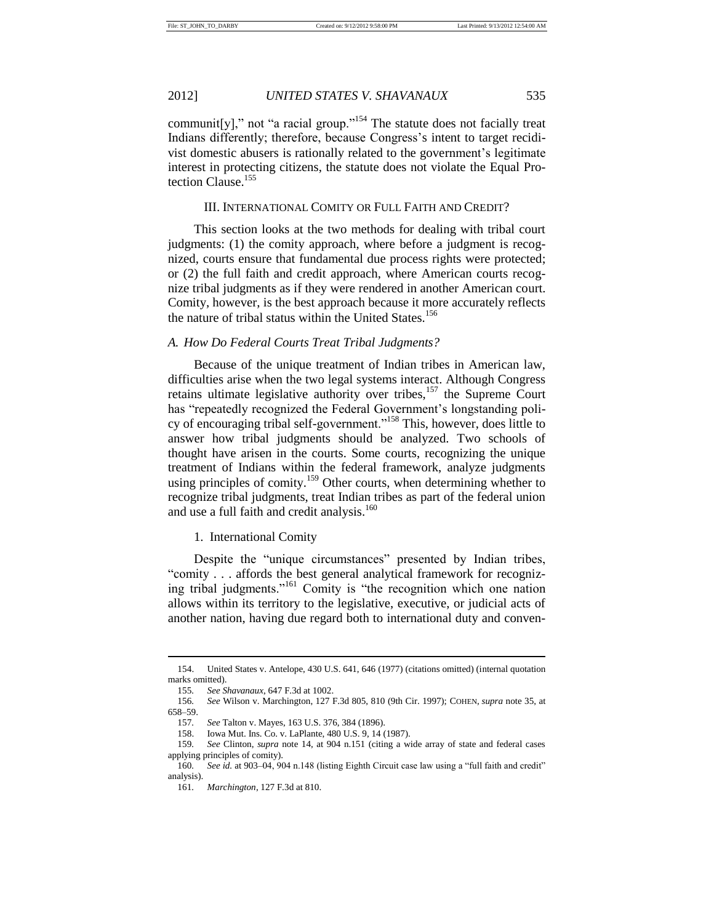communit[y]," not "a racial group."<sup>154</sup> The statute does not facially treat Indians differently; therefore, because Congress's intent to target recidivist domestic abusers is rationally related to the government's legitimate interest in protecting citizens, the statute does not violate the Equal Protection Clause. 155

## III. INTERNATIONAL COMITY OR FULL FAITH AND CREDIT?

This section looks at the two methods for dealing with tribal court judgments: (1) the comity approach, where before a judgment is recognized, courts ensure that fundamental due process rights were protected; or (2) the full faith and credit approach, where American courts recognize tribal judgments as if they were rendered in another American court. Comity, however, is the best approach because it more accurately reflects the nature of tribal status within the United States.<sup>156</sup>

### *A. How Do Federal Courts Treat Tribal Judgments?*

Because of the unique treatment of Indian tribes in American law, difficulties arise when the two legal systems interact. Although Congress retains ultimate legislative authority over tribes,<sup>157</sup> the Supreme Court has "repeatedly recognized the Federal Government's longstanding policy of encouraging tribal self-government."<sup>158</sup> This, however, does little to answer how tribal judgments should be analyzed. Two schools of thought have arisen in the courts. Some courts, recognizing the unique treatment of Indians within the federal framework, analyze judgments using principles of comity.<sup>159</sup> Other courts, when determining whether to recognize tribal judgments, treat Indian tribes as part of the federal union and use a full faith and credit analysis.<sup>160</sup>

## 1. International Comity

Despite the "unique circumstances" presented by Indian tribes, "comity . . . affords the best general analytical framework for recognizing tribal judgments."<sup>161</sup> Comity is "the recognition which one nation allows within its territory to the legislative, executive, or judicial acts of another nation, having due regard both to international duty and conven-

<sup>154.</sup> United States v. Antelope, 430 U.S. 641, 646 (1977) (citations omitted) (internal quotation marks omitted).

<sup>155</sup>*. See Shavanaux*, 647 F.3d at 1002.

<sup>156</sup>*. See* Wilson v. Marchington, 127 F.3d 805, 810 (9th Cir. 1997); COHEN, *supra* note 35, at 658–59.

<sup>157</sup>*. See* Talton v. Mayes, 163 U.S. 376, 384 (1896).

<sup>158.</sup> Iowa Mut. Ins. Co. v. LaPlante, 480 U.S. 9, 14 (1987).

<sup>159</sup>*. See* Clinton, *supra* note 14, at 904 n.151 (citing a wide array of state and federal cases applying principles of comity).

<sup>160</sup>*. See id.* at 903–04, 904 n.148 (listing Eighth Circuit case law using a "full faith and credit" analysis).

<sup>161</sup>*. Marchington*, 127 F.3d at 810.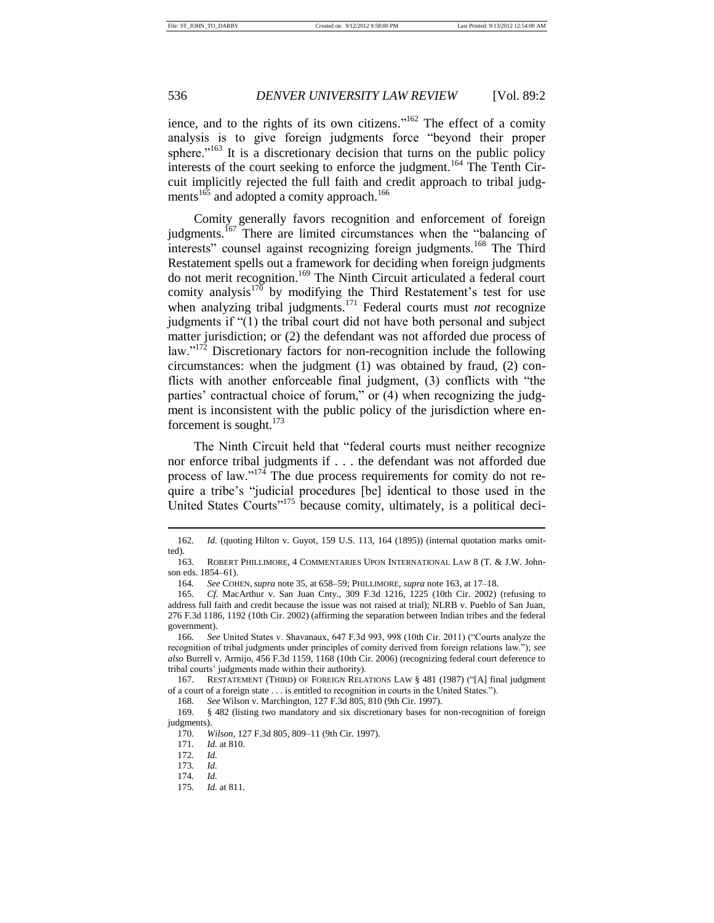ience, and to the rights of its own citizens." $162$  The effect of a comity analysis is to give foreign judgments force "beyond their proper sphere."<sup>163</sup> It is a discretionary decision that turns on the public policy interests of the court seeking to enforce the judgment.<sup>164</sup> The Tenth Circuit implicitly rejected the full faith and credit approach to tribal judgments<sup>165</sup> and adopted a comity approach.<sup>166</sup>

Comity generally favors recognition and enforcement of foreign judgments.<sup>167</sup> There are limited circumstances when the "balancing of interests" counsel against recognizing foreign judgments.<sup>168</sup> The Third Restatement spells out a framework for deciding when foreign judgments do not merit recognition.<sup>169</sup> The Ninth Circuit articulated a federal court comity analysis<sup>170</sup> by modifying the Third Restatement's test for use when analyzing tribal judgments.<sup>171</sup> Federal courts must *not* recognize judgments if "(1) the tribal court did not have both personal and subject matter jurisdiction; or (2) the defendant was not afforded due process of law."<sup>172</sup> Discretionary factors for non-recognition include the following circumstances: when the judgment (1) was obtained by fraud, (2) conflicts with another enforceable final judgment, (3) conflicts with "the parties' contractual choice of forum," or (4) when recognizing the judgment is inconsistent with the public policy of the jurisdiction where enforcement is sought. $173$ 

The Ninth Circuit held that "federal courts must neither recognize nor enforce tribal judgments if . . . the defendant was not afforded due process of law." $17<sup>4</sup>$  The due process requirements for comity do not require a tribe's "judicial procedures [be] identical to those used in the United States Courts<sup>"175</sup> because comity, ultimately, is a political deci-

<sup>162</sup>*. Id.* (quoting Hilton v. Guyot, 159 U.S. 113, 164 (1895)) (internal quotation marks omitted).

<sup>163.</sup> ROBERT PHILLIMORE, 4 COMMENTARIES UPON INTERNATIONAL LAW 8 (T. & J.W. Johnson eds. 1854–61).

<sup>164</sup>*. See* COHEN, *supra* note 35, at 658–59; PHILLIMORE, *supra* note 163, at 17–18.

<sup>165</sup>*. Cf.* MacArthur v. San Juan Cnty., 309 F.3d 1216, 1225 (10th Cir. 2002) (refusing to address full faith and credit because the issue was not raised at trial); NLRB v. Pueblo of San Juan, 276 F.3d 1186, 1192 (10th Cir. 2002) (affirming the separation between Indian tribes and the federal government).

<sup>166</sup>*. See* United States v. Shavanaux, 647 F.3d 993, 998 (10th Cir. 2011) ("Courts analyze the recognition of tribal judgments under principles of comity derived from foreign relations law."); *see also* Burrell v. Armijo, 456 F.3d 1159, 1168 (10th Cir. 2006) (recognizing federal court deference to tribal courts' judgments made within their authority).

<sup>167.</sup> RESTATEMENT (THIRD) OF FOREIGN RELATIONS LAW § 481 (1987) ("[A] final judgment of a court of a foreign state . . . is entitled to recognition in courts in the United States.").

<sup>168</sup>*. See* Wilson v. Marchington, 127 F.3d 805, 810 (9th Cir. 1997).

<sup>169.</sup> § 482 (listing two mandatory and six discretionary bases for non-recognition of foreign judgments).

<sup>170</sup>*. Wilson*, 127 F.3d 805, 809–11 (9th Cir. 1997).

<sup>171</sup>*. Id.* at 810.

<sup>172</sup>*. Id.*

<sup>173</sup>*. Id.*

<sup>174</sup>*. Id.*

<sup>175</sup>*. Id.* at 811.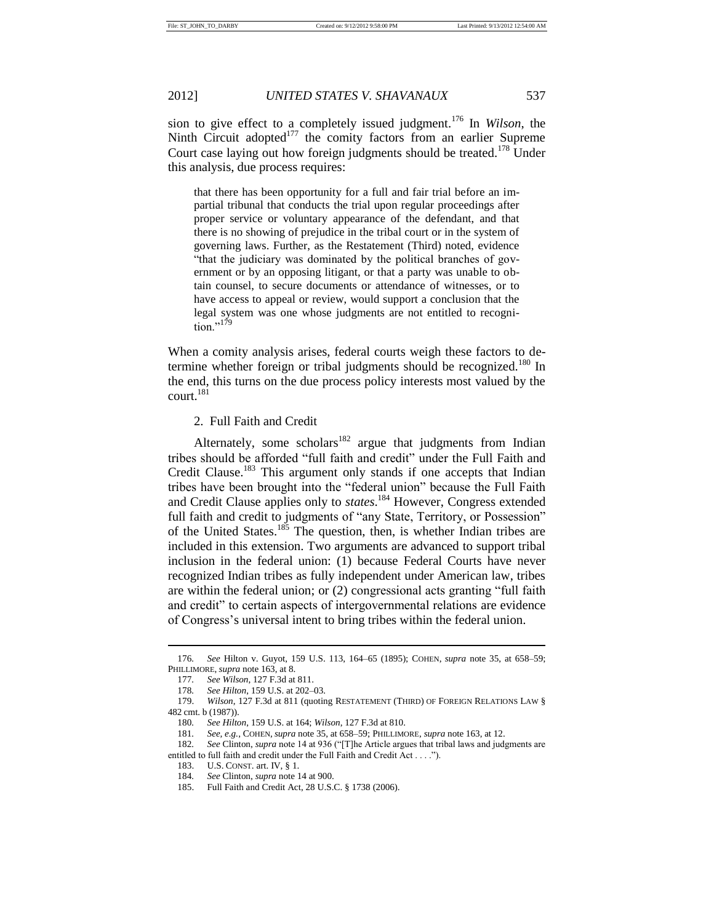sion to give effect to a completely issued judgment.<sup>176</sup> In *Wilson*, the Ninth Circuit adopted $177$  the comity factors from an earlier Supreme Court case laying out how foreign judgments should be treated.<sup>178</sup> Under this analysis, due process requires:

that there has been opportunity for a full and fair trial before an impartial tribunal that conducts the trial upon regular proceedings after proper service or voluntary appearance of the defendant, and that there is no showing of prejudice in the tribal court or in the system of governing laws. Further, as the Restatement (Third) noted, evidence "that the judiciary was dominated by the political branches of government or by an opposing litigant, or that a party was unable to obtain counsel, to secure documents or attendance of witnesses, or to have access to appeal or review, would support a conclusion that the legal system was one whose judgments are not entitled to recogni- $\text{tion.}^{\cdot,179}$ 

When a comity analysis arises, federal courts weigh these factors to determine whether foreign or tribal judgments should be recognized.<sup>180</sup> In the end, this turns on the due process policy interests most valued by the court.<sup>181</sup>

2. Full Faith and Credit

Alternately, some scholars<sup>182</sup> argue that judgments from Indian tribes should be afforded "full faith and credit" under the Full Faith and Credit Clause.<sup>183</sup> This argument only stands if one accepts that Indian tribes have been brought into the "federal union" because the Full Faith and Credit Clause applies only to *states*. <sup>184</sup> However, Congress extended full faith and credit to judgments of "any State, Territory, or Possession" of the United States.<sup>185</sup> The question, then, is whether Indian tribes are included in this extension. Two arguments are advanced to support tribal inclusion in the federal union: (1) because Federal Courts have never recognized Indian tribes as fully independent under American law, tribes are within the federal union; or (2) congressional acts granting "full faith and credit" to certain aspects of intergovernmental relations are evidence of Congress's universal intent to bring tribes within the federal union.

<sup>176</sup>*. See* Hilton v. Guyot, 159 U.S. 113, 164–65 (1895); COHEN, *supra* note 35, at 658–59; PHILLIMORE, *supra* note 163, at 8.

<sup>177</sup>*. See Wilson*, 127 F.3d at 811.

<sup>178</sup>*. See Hilton*, 159 U.S. at 202–03.

<sup>179.</sup> *Wilson*, 127 F.3d at 811 (quoting RESTATEMENT (THIRD) OF FOREIGN RELATIONS LAW § 482 cmt. b (1987)).

<sup>180</sup>*. See Hilton*, 159 U.S. at 164; *Wilson*, 127 F.3d at 810.

<sup>181</sup>*. See, e.g.*, COHEN, *supra* note 35, at 658–59; PHILLIMORE, *supra* note 163, at 12.

<sup>182</sup>*. See* Clinton, *supra* note 14 at 936 ("[T]he Article argues that tribal laws and judgments are entitled to full faith and credit under the Full Faith and Credit Act . . . .").

<sup>183.</sup> U.S. CONST. art. IV, § 1.

<sup>184</sup>*. See* Clinton, *supra* note 14 at 900.

<sup>185.</sup> Full Faith and Credit Act, 28 U.S.C. § 1738 (2006).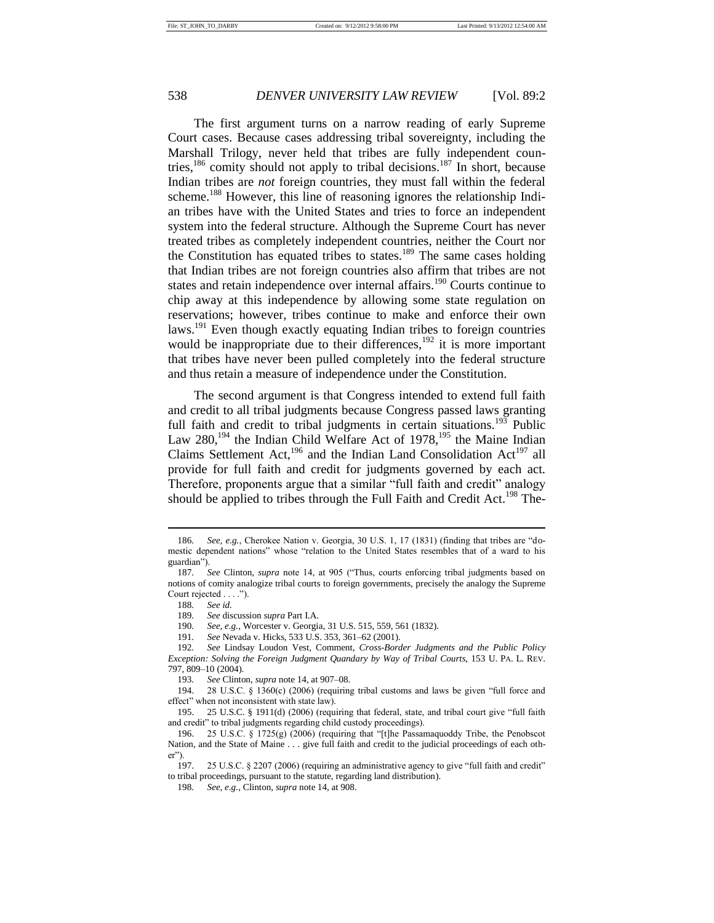The first argument turns on a narrow reading of early Supreme Court cases. Because cases addressing tribal sovereignty, including the Marshall Trilogy, never held that tribes are fully independent countries,<sup>186</sup> comity should not apply to tribal decisions.<sup>187</sup> In short, because Indian tribes are *not* foreign countries, they must fall within the federal scheme.<sup>188</sup> However, this line of reasoning ignores the relationship Indian tribes have with the United States and tries to force an independent system into the federal structure. Although the Supreme Court has never treated tribes as completely independent countries, neither the Court nor the Constitution has equated tribes to states.<sup>189</sup> The same cases holding that Indian tribes are not foreign countries also affirm that tribes are not states and retain independence over internal affairs.<sup>190</sup> Courts continue to chip away at this independence by allowing some state regulation on reservations; however, tribes continue to make and enforce their own laws.<sup>191</sup> Even though exactly equating Indian tribes to foreign countries would be inappropriate due to their differences, $192$  it is more important that tribes have never been pulled completely into the federal structure and thus retain a measure of independence under the Constitution.

The second argument is that Congress intended to extend full faith and credit to all tribal judgments because Congress passed laws granting full faith and credit to tribal judgments in certain situations.<sup>193</sup> Public Law  $280$ ,<sup>194</sup> the Indian Child Welfare Act of 1978,<sup>195</sup> the Maine Indian Claims Settlement Act, $196$  and the Indian Land Consolidation Act<sup>197</sup> all provide for full faith and credit for judgments governed by each act. Therefore, proponents argue that a similar "full faith and credit" analogy should be applied to tribes through the Full Faith and Credit Act.<sup>198</sup> The-

<sup>186</sup>*. See, e.g.*, Cherokee Nation v. Georgia, 30 U.S. 1, 17 (1831) (finding that tribes are "domestic dependent nations" whose "relation to the United States resembles that of a ward to his guardian").

<sup>187</sup>*. See* Clinton, *supra* note 14, at 905 ("Thus, courts enforcing tribal judgments based on notions of comity analogize tribal courts to foreign governments, precisely the analogy the Supreme Court rejected . . . . ").

<sup>188</sup>*. See id.*

<sup>189</sup>*. See* discussion *supra* Part I.A.

<sup>190</sup>*. See, e.g.*, Worcester v. Georgia, 31 U.S. 515, 559, 561 (1832).

<sup>191</sup>*. See* Nevada v. Hicks, 533 U.S. 353, 361–62 (2001).

<sup>192</sup>*. See* Lindsay Loudon Vest, Comment, *Cross-Border Judgments and the Public Policy Exception: Solving the Foreign Judgment Quandary by Way of Tribal Courts*, 153 U. PA. L. REV. 797, 809–10 (2004).

<sup>193</sup>*. See* Clinton, *supra* note 14, at 907–08.

<sup>194.</sup> 28 U.S.C. § 1360(c) (2006) (requiring tribal customs and laws be given "full force and effect" when not inconsistent with state law).

<sup>195.</sup> 25 U.S.C. § 1911(d) (2006) (requiring that federal, state, and tribal court give "full faith and credit" to tribal judgments regarding child custody proceedings).

<sup>196.</sup> 25 U.S.C. § 1725(g) (2006) (requiring that "[t]he Passamaquoddy Tribe, the Penobscot Nation, and the State of Maine . . . give full faith and credit to the judicial proceedings of each other").

<sup>197.</sup> 25 U.S.C. § 2207 (2006) (requiring an administrative agency to give "full faith and credit" to tribal proceedings, pursuant to the statute, regarding land distribution).

<sup>198</sup>*. See, e.g.*, Clinton, *supra* note 14, at 908.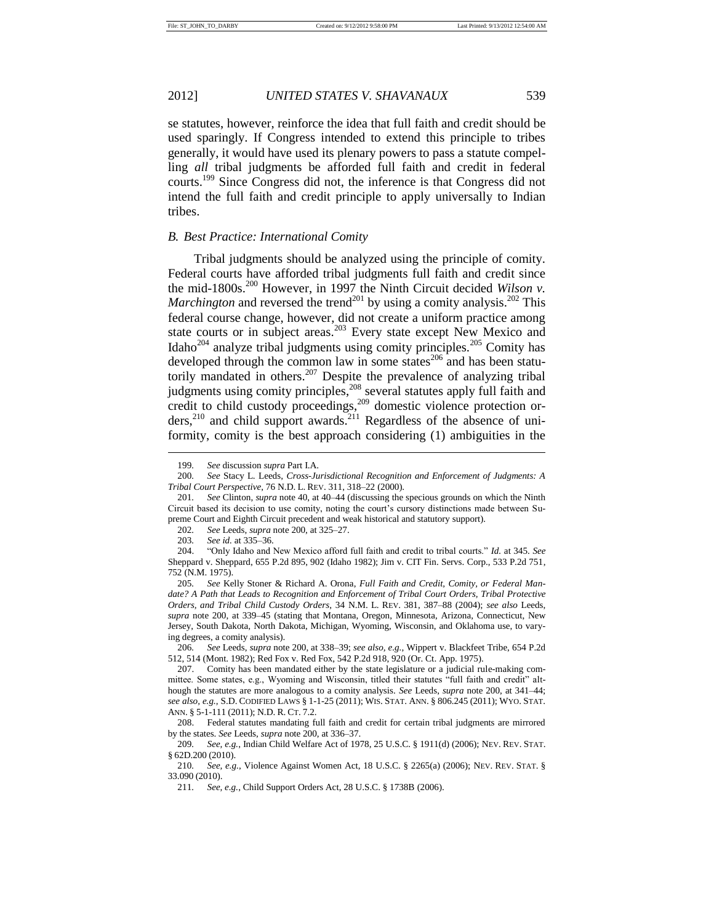se statutes, however, reinforce the idea that full faith and credit should be used sparingly. If Congress intended to extend this principle to tribes generally, it would have used its plenary powers to pass a statute compelling *all* tribal judgments be afforded full faith and credit in federal courts.<sup>199</sup> Since Congress did not, the inference is that Congress did not intend the full faith and credit principle to apply universally to Indian tribes.

## *B. Best Practice: International Comity*

Tribal judgments should be analyzed using the principle of comity. Federal courts have afforded tribal judgments full faith and credit since the mid-1800s.<sup>200</sup> However, in 1997 the Ninth Circuit decided *Wilson v*. *Marchington* and reversed the trend<sup>201</sup> by using a comity analysis.<sup>202</sup> This federal course change, however, did not create a uniform practice among state courts or in subject areas.<sup>203</sup> Every state except New Mexico and Idaho<sup>204</sup> analyze tribal judgments using comity principles.<sup>205</sup> Comity has developed through the common law in some states $^{206}$  and has been statutorily mandated in others.<sup>207</sup> Despite the prevalence of analyzing tribal judgments using comity principles,<sup>208</sup> several statutes apply full faith and credit to child custody proceedings,<sup>209</sup> domestic violence protection orders,<sup>210</sup> and child support awards.<sup>211</sup> Regardless of the absence of uniformity, comity is the best approach considering (1) ambiguities in the

205*. See* Kelly Stoner & Richard A. Orona, *Full Faith and Credit, Comity, or Federal Mandate? A Path that Leads to Recognition and Enforcement of Tribal Court Orders, Tribal Protective Orders, and Tribal Child Custody Orders*, 34 N.M. L. REV. 381, 387–88 (2004); *see also* Leeds, *supra* note 200, at 339–45 (stating that Montana, Oregon, Minnesota, Arizona, Connecticut, New Jersey, South Dakota, North Dakota, Michigan, Wyoming, Wisconsin, and Oklahoma use, to varying degrees, a comity analysis).

206*. See* Leeds, *supra* note 200, at 338–39; *see also, e.g.*, Wippert v. Blackfeet Tribe, 654 P.2d 512, 514 (Mont. 1982); Red Fox v. Red Fox, 542 P.2d 918, 920 (Or. Ct. App. 1975).

207. Comity has been mandated either by the state legislature or a judicial rule-making committee. Some states, e.g., Wyoming and Wisconsin, titled their statutes "full faith and credit" although the statutes are more analogous to a comity analysis. *See* Leeds, *supra* note 200, at 341–44; *see also, e.g.*, S.D. CODIFIED LAWS § 1-1-25 (2011); WIS. STAT. ANN. § 806.245 (2011); WYO. STAT. ANN. § 5-1-111 (2011); N.D. R. CT. 7.2.

208. Federal statutes mandating full faith and credit for certain tribal judgments are mirrored by the states. *See* Leeds, *supra* note 200, at 336–37.

209*. See, e.g.*, Indian Child Welfare Act of 1978, 25 U.S.C. § 1911(d) (2006); NEV. REV. STAT. § 62D.200 (2010).

210*. See, e.g.*, Violence Against Women Act, 18 U.S.C. § 2265(a) (2006); NEV. REV. STAT. § 33.090 (2010).

211*. See, e.g.*, Child Support Orders Act, 28 U.S.C. § 1738B (2006).

<sup>199</sup>*. See* discussion *supra* Part I.A.

<sup>200</sup>*. See* Stacy L. Leeds, *Cross-Jurisdictional Recognition and Enforcement of Judgments: A Tribal Court Perspective*, 76 N.D. L. REV. 311, 318–22 (2000).

<sup>201</sup>*. See* Clinton, *supra* note 40, at 40–44 (discussing the specious grounds on which the Ninth Circuit based its decision to use comity, noting the court's cursory distinctions made between Supreme Court and Eighth Circuit precedent and weak historical and statutory support).

<sup>202</sup>*. See* Leeds, *supra* note 200, at 325–27.

<sup>203</sup>*. See id.* at 335–36.

<sup>204.</sup> "Only Idaho and New Mexico afford full faith and credit to tribal courts." *Id.* at 345. *See*  Sheppard v. Sheppard, 655 P.2d 895, 902 (Idaho 1982); Jim v. CIT Fin. Servs. Corp., 533 P.2d 751, 752 (N.M. 1975).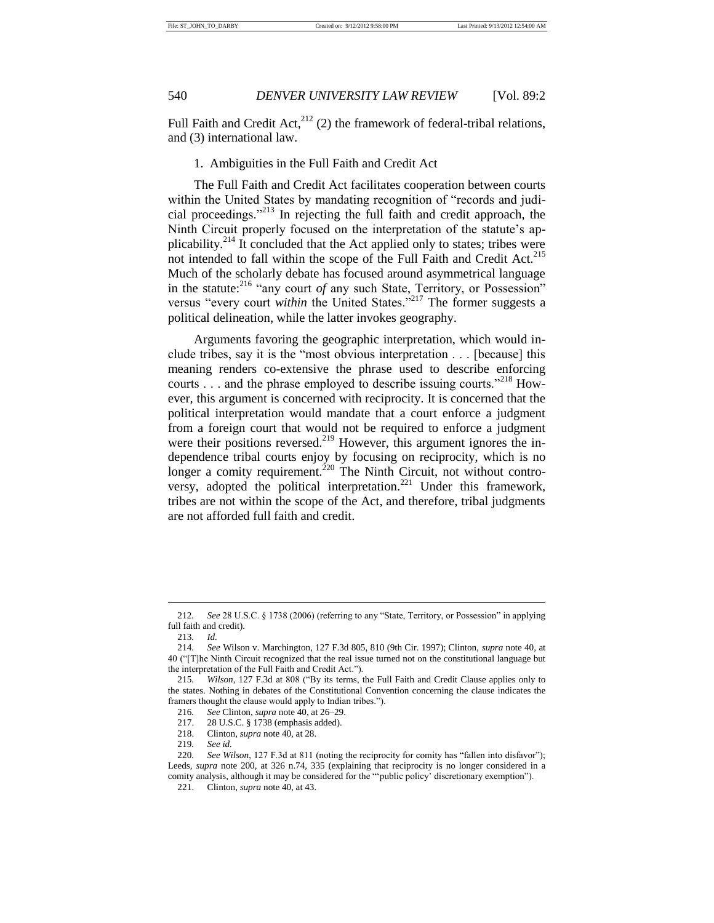Full Faith and Credit Act, $^{212}$  (2) the framework of federal-tribal relations, and (3) international law.

### 1. Ambiguities in the Full Faith and Credit Act

The Full Faith and Credit Act facilitates cooperation between courts within the United States by mandating recognition of "records and judicial proceedings."<sup>213</sup> In rejecting the full faith and credit approach, the Ninth Circuit properly focused on the interpretation of the statute's applicability.<sup>214</sup> It concluded that the Act applied only to states; tribes were not intended to fall within the scope of the Full Faith and Credit Act.<sup>215</sup> Much of the scholarly debate has focused around asymmetrical language in the statute:<sup>216</sup> "any court *of* any such State, Territory, or Possession" versus "every court *within* the United States."<sup>217</sup> The former suggests a political delineation, while the latter invokes geography.

Arguments favoring the geographic interpretation, which would include tribes, say it is the "most obvious interpretation . . . [because] this meaning renders co-extensive the phrase used to describe enforcing courts . . . and the phrase employed to describe issuing courts."<sup>218</sup> However, this argument is concerned with reciprocity. It is concerned that the political interpretation would mandate that a court enforce a judgment from a foreign court that would not be required to enforce a judgment were their positions reversed.<sup>219</sup> However, this argument ignores the independence tribal courts enjoy by focusing on reciprocity, which is no longer a comity requirement.<sup>220</sup> The Ninth Circuit, not without controversy, adopted the political interpretation.<sup>221</sup> Under this framework, tribes are not within the scope of the Act, and therefore, tribal judgments are not afforded full faith and credit.

<sup>212</sup>*. See* 28 U.S.C. § 1738 (2006) (referring to any "State, Territory, or Possession" in applying full faith and credit).

<sup>213</sup>*. Id.*

<sup>214</sup>*. See* Wilson v. Marchington, 127 F.3d 805, 810 (9th Cir. 1997); Clinton, *supra* note 40, at 40 ("[T]he Ninth Circuit recognized that the real issue turned not on the constitutional language but the interpretation of the Full Faith and Credit Act.").

<sup>215</sup>*. Wilson*, 127 F.3d at 808 ("By its terms, the Full Faith and Credit Clause applies only to the states. Nothing in debates of the Constitutional Convention concerning the clause indicates the framers thought the clause would apply to Indian tribes.").

<sup>216</sup>*. See* Clinton, *supra* note 40, at 26–29.

<sup>217.</sup> 28 U.S.C. § 1738 (emphasis added).

<sup>218.</sup> Clinton, *supra* note 40, at 28.

<sup>219</sup>*. See id.*

<sup>220</sup>*. See Wilson*, 127 F.3d at 811 (noting the reciprocity for comity has "fallen into disfavor"); Leeds, *supra* note 200, at 326 n.74, 335 (explaining that reciprocity is no longer considered in a comity analysis, although it may be considered for the "'public policy' discretionary exemption").

<sup>221.</sup> Clinton, *supra* note 40, at 43.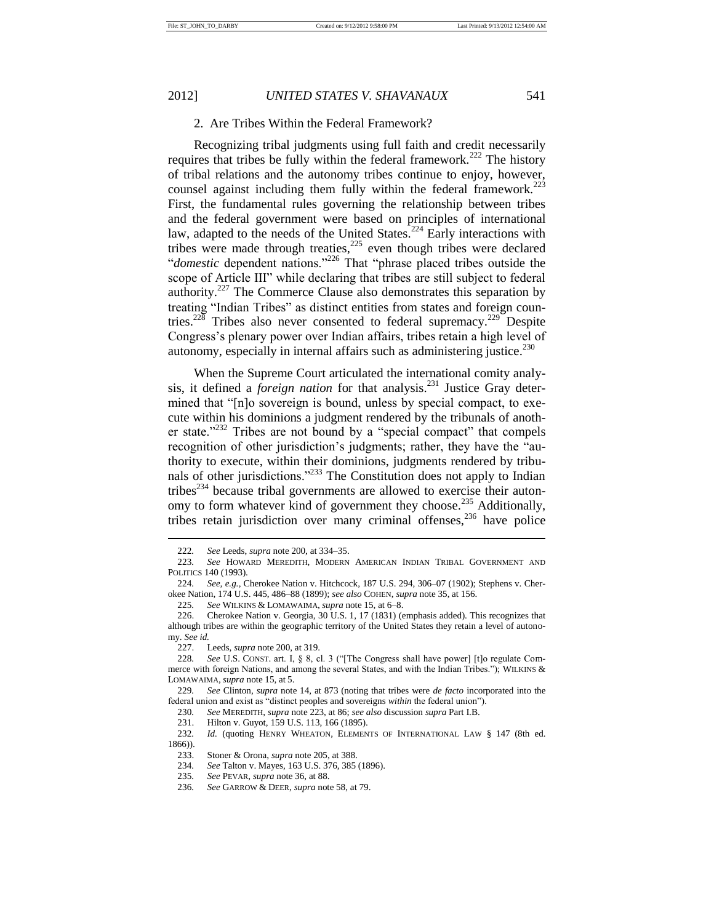# 2. Are Tribes Within the Federal Framework?

Recognizing tribal judgments using full faith and credit necessarily requires that tribes be fully within the federal framework.<sup>222</sup> The history of tribal relations and the autonomy tribes continue to enjoy, however, counsel against including them fully within the federal framework.<sup>223</sup> First, the fundamental rules governing the relationship between tribes and the federal government were based on principles of international law, adapted to the needs of the United States.<sup>224</sup> Early interactions with tribes were made through treaties,<sup>225</sup> even though tribes were declared "domestic dependent nations."<sup>226</sup> That "phrase placed tribes outside the scope of Article III" while declaring that tribes are still subject to federal authority.<sup>227</sup> The Commerce Clause also demonstrates this separation by treating "Indian Tribes" as distinct entities from states and foreign countries.<sup>228</sup> Tribes also never consented to federal supremacy.<sup>229</sup> Despite Congress's plenary power over Indian affairs, tribes retain a high level of autonomy, especially in internal affairs such as administering justice. $^{230}$ 

When the Supreme Court articulated the international comity analysis, it defined a *foreign nation* for that analysis.<sup>231</sup> Justice Gray determined that "[n]o sovereign is bound, unless by special compact, to execute within his dominions a judgment rendered by the tribunals of another state."<sup>232</sup> Tribes are not bound by a "special compact" that compels recognition of other jurisdiction's judgments; rather, they have the "authority to execute, within their dominions, judgments rendered by tribunals of other jurisdictions."<sup>233</sup> The Constitution does not apply to Indian tribes<sup>234</sup> because tribal governments are allowed to exercise their autonomy to form whatever kind of government they choose.<sup>235</sup> Additionally, tribes retain jurisdiction over many criminal offenses,  $236$  have police

<sup>222</sup>*. See* Leeds, *supra* note 200, at 334–35.

See HOWARD MEREDITH, MODERN AMERICAN INDIAN TRIBAL GOVERNMENT AND POLITICS 140 (1993).

<sup>224</sup>*. See, e.g.*, Cherokee Nation v. Hitchcock, 187 U.S. 294, 306–07 (1902); Stephens v. Cherokee Nation, 174 U.S. 445, 486–88 (1899); *see also* COHEN, *supra* note 35, at 156.

<sup>225</sup>*. See* WILKINS & LOMAWAIMA, *supra* note 15, at 6–8.

<sup>226.</sup> Cherokee Nation v. Georgia, 30 U.S. 1, 17 (1831) (emphasis added). This recognizes that although tribes are within the geographic territory of the United States they retain a level of autonomy. *See id.*

<sup>227.</sup> Leeds, *supra* note 200, at 319.

<sup>228</sup>*. See* U.S. CONST. art. I, § 8, cl. 3 ("[The Congress shall have power] [t]o regulate Commerce with foreign Nations, and among the several States, and with the Indian Tribes."); WILKINS & LOMAWAIMA, *supra* note 15, at 5.

<sup>229</sup>*. See* Clinton, *supra* note 14, at 873 (noting that tribes were *de facto* incorporated into the federal union and exist as "distinct peoples and sovereigns *within* the federal union").

<sup>230</sup>*. See* MEREDITH, *supra* note 223, at 86; *see also* discussion *supra* Part I.B.

<sup>231.</sup> Hilton v. Guyot, 159 U.S. 113, 166 (1895).

<sup>232</sup>*. Id.* (quoting HENRY WHEATON, ELEMENTS OF INTERNATIONAL LAW § 147 (8th ed. 1866)).

<sup>233.</sup> Stoner & Orona, *supra* note 205, at 388.

<sup>234</sup>*. See* Talton v. Mayes, 163 U.S. 376, 385 (1896).

<sup>235</sup>*. See* PEVAR, *supra* note 36, at 88.

<sup>236</sup>*. See* GARROW & DEER, *supra* note 58, at 79.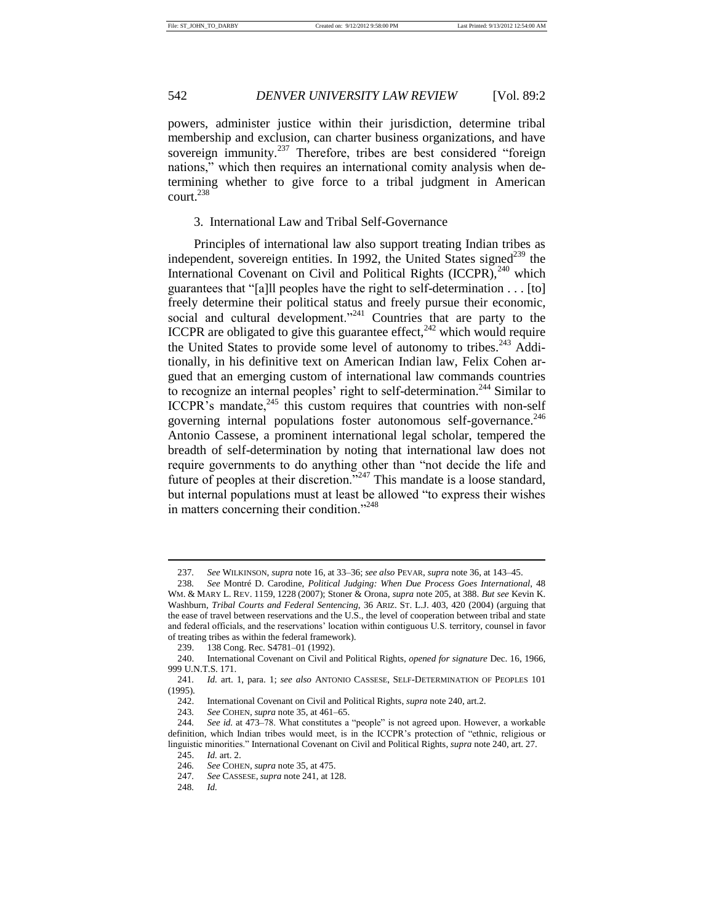powers, administer justice within their jurisdiction, determine tribal membership and exclusion, can charter business organizations, and have sovereign immunity.<sup>237</sup> Therefore, tribes are best considered "foreign nations," which then requires an international comity analysis when determining whether to give force to a tribal judgment in American court.<sup>238</sup>

#### 3. International Law and Tribal Self-Governance

Principles of international law also support treating Indian tribes as independent, sovereign entities. In 1992, the United States signed $^{239}$  the International Covenant on Civil and Political Rights  $(ICCPR)$ ,<sup>240</sup> which guarantees that "[a]ll peoples have the right to self-determination . . . [to] freely determine their political status and freely pursue their economic, social and cultural development."<sup>241</sup> Countries that are party to the ICCPR are obligated to give this guarantee effect,  $242$  which would require the United States to provide some level of autonomy to tribes. $243$  Additionally, in his definitive text on American Indian law, Felix Cohen argued that an emerging custom of international law commands countries to recognize an internal peoples' right to self-determination.<sup>244</sup> Similar to ICCPR's mandate,<sup>245</sup> this custom requires that countries with non-self governing internal populations foster autonomous self-governance.<sup>246</sup> Antonio Cassese, a prominent international legal scholar, tempered the breadth of self-determination by noting that international law does not require governments to do anything other than "not decide the life and future of peoples at their discretion."<sup>247</sup> This mandate is a loose standard, but internal populations must at least be allowed "to express their wishes in matters concerning their condition."<sup>248</sup>

<sup>237</sup>*. See* WILKINSON, *supra* note 16, at 33–36; *see also* PEVAR, *supra* note 36, at 143–45.

<sup>238</sup>*. See* Montré D. Carodine, *Political Judging: When Due Process Goes International*, 48 WM. & MARY L. REV. 1159, 1228 (2007); Stoner & Orona, *supra* note 205, at 388. *But see* Kevin K. Washburn, *Tribal Courts and Federal Sentencing*, 36 ARIZ. ST. L.J. 403, 420 (2004) (arguing that the ease of travel between reservations and the U.S., the level of cooperation between tribal and state and federal officials, and the reservations' location within contiguous U.S. territory, counsel in favor of treating tribes as within the federal framework).

<sup>239.</sup> 138 Cong. Rec. S4781–01 (1992).

<sup>240.</sup> International Covenant on Civil and Political Rights, *opened for signature* Dec. 16, 1966, 999 U.N.T.S. 171.

<sup>241</sup>*. Id.* art. 1, para. 1; *see also* ANTONIO CASSESE, SELF-DETERMINATION OF PEOPLES 101 (1995).

<sup>242.</sup> International Covenant on Civil and Political Rights, *supra* note 240, art.2.

<sup>243</sup>*. See* COHEN, *supra* note 35, at 461–65.

<sup>244</sup>*. See id.* at 473–78. What constitutes a "people" is not agreed upon. However, a workable definition, which Indian tribes would meet, is in the ICCPR's protection of "ethnic, religious or linguistic minorities." International Covenant on Civil and Political Rights, *supra* note 240, art. 27.

<sup>245.</sup> *Id.* art. 2.

<sup>246</sup>*. See* COHEN, *supra* note 35, at 475.

<sup>247</sup>*. See* CASSESE, *supra* note 241, at 128.

<sup>248</sup>*. Id.*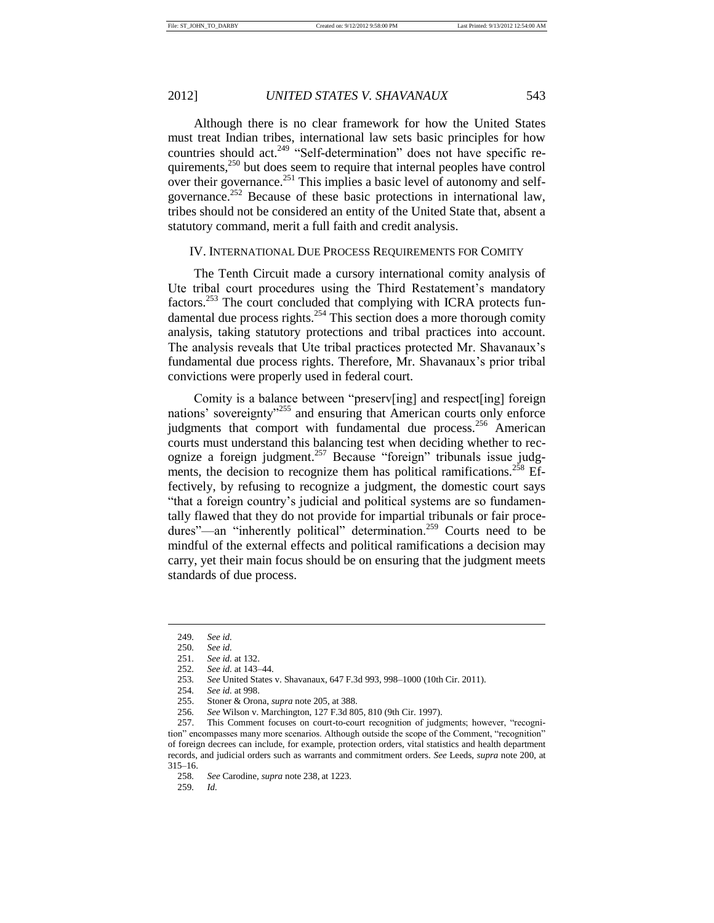Although there is no clear framework for how the United States must treat Indian tribes, international law sets basic principles for how countries should act.<sup>249</sup> "Self-determination" does not have specific requirements, $250$  but does seem to require that internal peoples have control over their governance.<sup>251</sup> This implies a basic level of autonomy and selfgovernance.<sup>252</sup> Because of these basic protections in international law, tribes should not be considered an entity of the United State that, absent a statutory command, merit a full faith and credit analysis.

#### IV. INTERNATIONAL DUE PROCESS REQUIREMENTS FOR COMITY

The Tenth Circuit made a cursory international comity analysis of Ute tribal court procedures using the Third Restatement's mandatory factors.<sup>253</sup> The court concluded that complying with ICRA protects fundamental due process rights.<sup>254</sup> This section does a more thorough comity analysis, taking statutory protections and tribal practices into account. The analysis reveals that Ute tribal practices protected Mr. Shavanaux's fundamental due process rights. Therefore, Mr. Shavanaux's prior tribal convictions were properly used in federal court.

Comity is a balance between "preserv[ing] and respect[ing] foreign nations' sovereignty"<sup>255</sup> and ensuring that American courts only enforce judgments that comport with fundamental due process.<sup>256</sup> American courts must understand this balancing test when deciding whether to recognize a foreign judgment.<sup>257</sup> Because "foreign" tribunals issue judgments, the decision to recognize them has political ramifications.<sup>258</sup> Effectively, by refusing to recognize a judgment, the domestic court says "that a foreign country's judicial and political systems are so fundamentally flawed that they do not provide for impartial tribunals or fair procedures"—an "inherently political" determination.<sup>259</sup> Courts need to be mindful of the external effects and political ramifications a decision may carry, yet their main focus should be on ensuring that the judgment meets standards of due process.

259*. Id.*

<sup>249</sup>*. See id.*

<sup>250</sup>*. See id.*

<sup>251</sup>*. See id.* at 132.

<sup>252</sup>*. See id.* at 143–44. 253*. See* United States v. Shavanaux, 647 F.3d 993, 998–1000 (10th Cir. 2011).

<sup>254</sup>*. See id.* at 998.

<sup>255.</sup> Stoner & Orona, *supra* note 205, at 388.

<sup>256</sup>*. See* Wilson v. Marchington, 127 F.3d 805, 810 (9th Cir. 1997).

<sup>257.</sup> This Comment focuses on court-to-court recognition of judgments; however, "recognition" encompasses many more scenarios. Although outside the scope of the Comment, "recognition" of foreign decrees can include, for example, protection orders, vital statistics and health department records, and judicial orders such as warrants and commitment orders. *See* Leeds, *supra* note 200, at 315–16.

<sup>258</sup>*. See* Carodine, *supra* note 238, at 1223.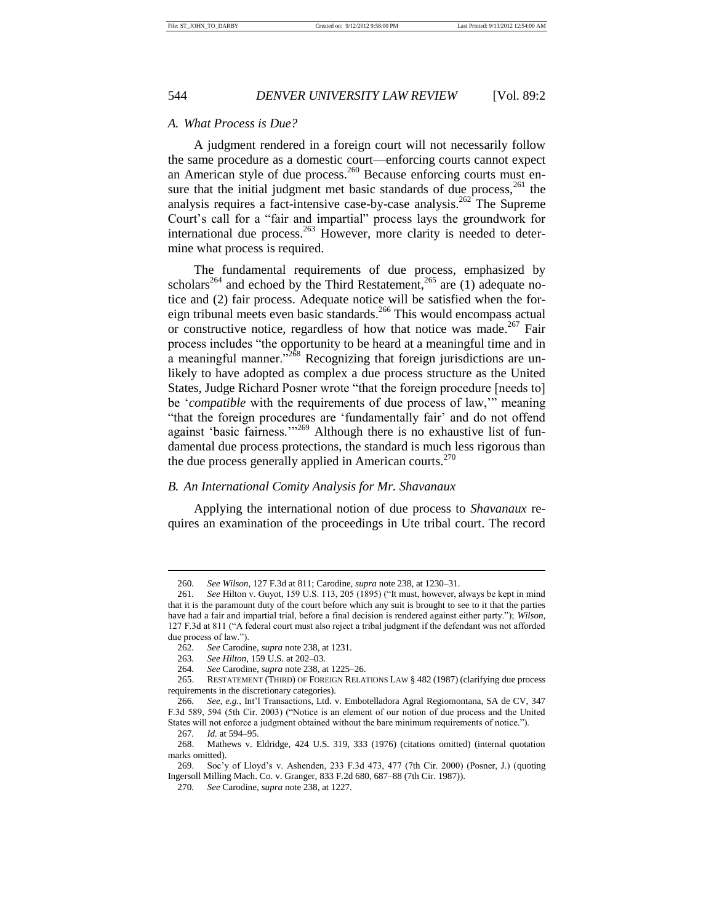### *A. What Process is Due?*

A judgment rendered in a foreign court will not necessarily follow the same procedure as a domestic court—enforcing courts cannot expect an American style of due process.<sup>260</sup> Because enforcing courts must ensure that the initial judgment met basic standards of due process, $^{261}$  the analysis requires a fact-intensive case-by-case analysis.<sup>262</sup> The Supreme Court's call for a "fair and impartial" process lays the groundwork for international due process.<sup>263</sup> However, more clarity is needed to determine what process is required.

The fundamental requirements of due process, emphasized by scholars<sup>264</sup> and echoed by the Third Restatement,<sup>265</sup> are (1) adequate notice and (2) fair process. Adequate notice will be satisfied when the foreign tribunal meets even basic standards.<sup>266</sup> This would encompass actual or constructive notice, regardless of how that notice was made.<sup>267</sup> Fair process includes "the opportunity to be heard at a meaningful time and in a meaningful manner." $^{268}$  Recognizing that foreign jurisdictions are unlikely to have adopted as complex a due process structure as the United States, Judge Richard Posner wrote "that the foreign procedure [needs to] be '*compatible* with the requirements of due process of law,'" meaning "that the foreign procedures are 'fundamentally fair' and do not offend against 'basic fairness.'"<sup>269</sup> Although there is no exhaustive list of fundamental due process protections, the standard is much less rigorous than the due process generally applied in American courts.<sup>270</sup>

## *B. An International Comity Analysis for Mr. Shavanaux*

Applying the international notion of due process to *Shavanaux* requires an examination of the proceedings in Ute tribal court. The record

264*. See* Carodine, *supra* note 238, at 1225–26.

<sup>260</sup>*. See Wilson*, 127 F.3d at 811; Carodine, *supra* note 238, at 1230–31.

<sup>261</sup>*. See* Hilton v. Guyot, 159 U.S. 113, 205 (1895) ("It must, however, always be kept in mind that it is the paramount duty of the court before which any suit is brought to see to it that the parties have had a fair and impartial trial, before a final decision is rendered against either party."); *Wilson*, 127 F.3d at 811 ("A federal court must also reject a tribal judgment if the defendant was not afforded due process of law.").

<sup>262</sup>*. See* Carodine, *supra* note 238, at 1231.

<sup>263</sup>*. See Hilton*, 159 U.S. at 202–03.

<sup>265.</sup> RESTATEMENT (THIRD) OF FOREIGN RELATIONS LAW § 482 (1987) (clarifying due process requirements in the discretionary categories).

<sup>266</sup>*. See, e.g.*, Int'l Transactions, Ltd. v. Embotelladora Agral Regiomontana, SA de CV, 347 F.3d 589, 594 (5th Cir. 2003) ("Notice is an element of our notion of due process and the United States will not enforce a judgment obtained without the bare minimum requirements of notice.").

<sup>267</sup>*. Id.* at 594–95.

<sup>268.</sup> Mathews v. Eldridge, 424 U.S. 319, 333 (1976) (citations omitted) (internal quotation marks omitted).

<sup>269.</sup> Soc'y of Lloyd's v. Ashenden, 233 F.3d 473, 477 (7th Cir. 2000) (Posner, J.) (quoting Ingersoll Milling Mach. Co. v. Granger, 833 F.2d 680, 687–88 (7th Cir. 1987)).

<sup>270</sup>*. See* Carodine, *supra* note 238, at 1227.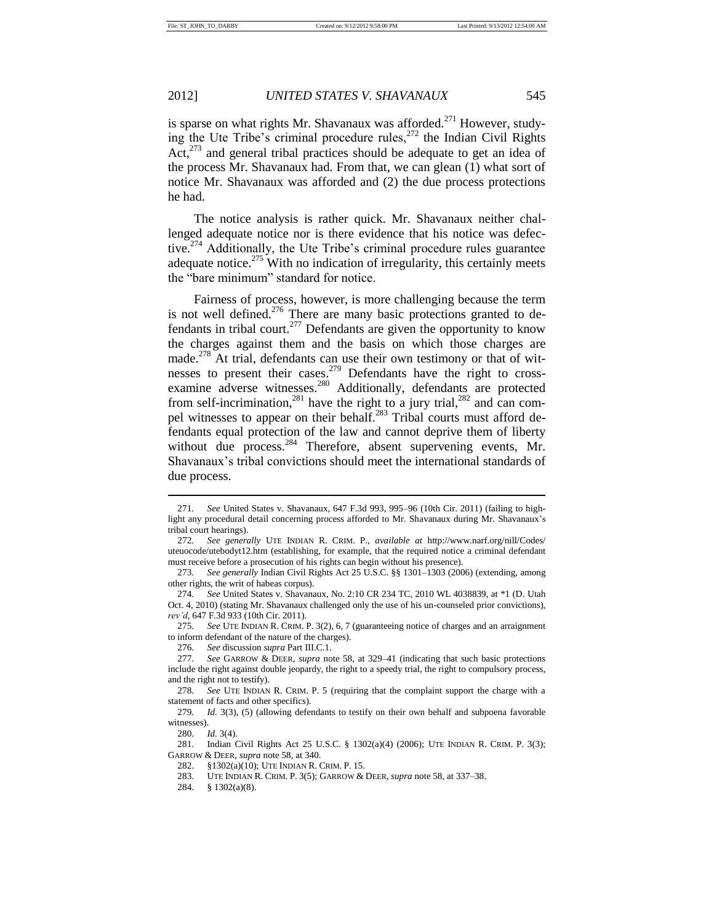is sparse on what rights Mr. Shavanaux was afforded.<sup>271</sup> However, studying the Ute Tribe's criminal procedure rules,<sup>272</sup> the Indian Civil Rights Act, $273$  and general tribal practices should be adequate to get an idea of the process Mr. Shavanaux had. From that, we can glean (1) what sort of notice Mr. Shavanaux was afforded and (2) the due process protections he had.

The notice analysis is rather quick. Mr. Shavanaux neither challenged adequate notice nor is there evidence that his notice was defective.<sup>274</sup> Additionally, the Ute Tribe's criminal procedure rules guarantee adequate notice.<sup>275</sup> With no indication of irregularity, this certainly meets the "bare minimum" standard for notice.

Fairness of process, however, is more challenging because the term is not well defined.<sup>276</sup> There are many basic protections granted to defendants in tribal court.<sup>277</sup> Defendants are given the opportunity to know the charges against them and the basis on which those charges are made.<sup>278</sup> At trial, defendants can use their own testimony or that of witnesses to present their cases.<sup>279</sup> Defendants have the right to crossexamine adverse witnesses.<sup>280</sup> Additionally, defendants are protected from self-incrimination,<sup>281</sup> have the right to a jury trial,<sup>282</sup> and can compel witnesses to appear on their behalf.<sup>283</sup> Tribal courts must afford defendants equal protection of the law and cannot deprive them of liberty without due process.<sup>284</sup> Therefore, absent supervening events, Mr. Shavanaux's tribal convictions should meet the international standards of due process.

275*. See* UTE INDIAN R. CRIM. P. 3(2), 6, 7 (guaranteeing notice of charges and an arraignment to inform defendant of the nature of the charges).

280*. Id.* 3(4).

281. Indian Civil Rights Act 25 U.S.C. § 1302(a)(4) (2006); UTE INDIAN R. CRIM. P. 3(3); GARROW & DEER, *supra* note 58, at 340.

282. §1302(a)(10); UTE INDIAN R. CRIM. P. 15.

283. UTE INDIAN R. CRIM. P. 3(5); GARROW & DEER, *supra* note 58, at 337–38.

284. § 1302(a)(8).

<sup>271</sup>*. See* United States v. Shavanaux, 647 F.3d 993, 995–96 (10th Cir. 2011) (failing to highlight any procedural detail concerning process afforded to Mr. Shavanaux during Mr. Shavanaux's tribal court hearings).

<sup>272</sup>*. See generally* UTE INDIAN R. CRIM. P., *available at* http://www.narf.org/nill/Codes/ uteuocode/utebodyt12.htm (establishing, for example, that the required notice a criminal defendant must receive before a prosecution of his rights can begin without his presence).

<sup>273</sup>*. See generally* Indian Civil Rights Act 25 U.S.C. §§ 1301–1303 (2006) (extending, among other rights, the writ of habeas corpus).

<sup>274</sup>*. See* United States v. Shavanaux, No. 2:10 CR 234 TC, 2010 WL 4038839, at \*1 (D. Utah Oct. 4, 2010) (stating Mr. Shavanaux challenged only the use of his un-counseled prior convictions), *rev'd*, 647 F.3d 933 (10th Cir. 2011).

<sup>276</sup>*. See* discussion *supra* Part III.C.1.

<sup>277</sup>*. See* GARROW & DEER, *supra* note 58, at 329–41 (indicating that such basic protections include the right against double jeopardy, the right to a speedy trial, the right to compulsory process, and the right not to testify).

<sup>278</sup>*. See* UTE INDIAN R. CRIM. P. 5 (requiring that the complaint support the charge with a statement of facts and other specifics).

<sup>279</sup>*. Id.* 3(3), (5) (allowing defendants to testify on their own behalf and subpoena favorable witnesses).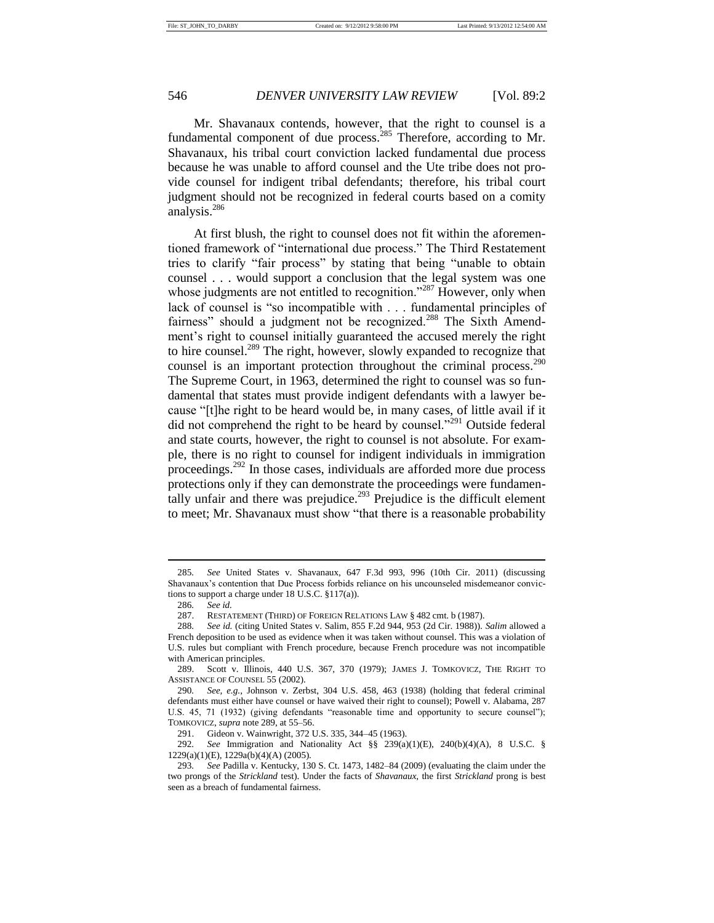Mr. Shavanaux contends, however, that the right to counsel is a fundamental component of due process.<sup>285</sup> Therefore, according to Mr. Shavanaux, his tribal court conviction lacked fundamental due process because he was unable to afford counsel and the Ute tribe does not provide counsel for indigent tribal defendants; therefore, his tribal court judgment should not be recognized in federal courts based on a comity analysis. 286

At first blush, the right to counsel does not fit within the aforementioned framework of "international due process." The Third Restatement tries to clarify "fair process" by stating that being "unable to obtain counsel . . . would support a conclusion that the legal system was one whose judgments are not entitled to recognition."<sup>287</sup> However, only when lack of counsel is "so incompatible with . . . fundamental principles of fairness" should a judgment not be recognized.<sup>288</sup> The Sixth Amendment's right to counsel initially guaranteed the accused merely the right to hire counsel.<sup>289</sup> The right, however, slowly expanded to recognize that counsel is an important protection throughout the criminal process.<sup>290</sup> The Supreme Court, in 1963, determined the right to counsel was so fundamental that states must provide indigent defendants with a lawyer because "[t]he right to be heard would be, in many cases, of little avail if it did not comprehend the right to be heard by counsel."<sup>291</sup> Outside federal and state courts, however, the right to counsel is not absolute. For example, there is no right to counsel for indigent individuals in immigration proceedings.<sup>292</sup> In those cases, individuals are afforded more due process protections only if they can demonstrate the proceedings were fundamentally unfair and there was prejudice.<sup>293</sup> Prejudice is the difficult element to meet; Mr. Shavanaux must show "that there is a reasonable probability

292*. See* Immigration and Nationality Act §§ 239(a)(1)(E), 240(b)(4)(A), 8 U.S.C. § 1229(a)(1)(E), 1229a(b)(4)(A) (2005).

<sup>285</sup>*. See* United States v. Shavanaux, 647 F.3d 993, 996 (10th Cir. 2011) (discussing Shavanaux's contention that Due Process forbids reliance on his uncounseled misdemeanor convictions to support a charge under 18 U.S.C. §117(a)).

<sup>286</sup>*. See id.*

<sup>287.</sup> RESTATEMENT (THIRD) OF FOREIGN RELATIONS LAW § 482 cmt. b (1987).

<sup>288</sup>*. See id.* (citing United States v. Salim, 855 F.2d 944, 953 (2d Cir. 1988)). *Salim* allowed a French deposition to be used as evidence when it was taken without counsel. This was a violation of U.S. rules but compliant with French procedure, because French procedure was not incompatible with American principles.

<sup>289.</sup> Scott v. Illinois, 440 U.S. 367, 370 (1979); JAMES J. TOMKOVICZ, THE RIGHT TO ASSISTANCE OF COUNSEL 55 (2002).

<sup>290</sup>*. See, e.g.*, Johnson v. Zerbst, 304 U.S. 458, 463 (1938) (holding that federal criminal defendants must either have counsel or have waived their right to counsel); Powell v. Alabama, 287 U.S. 45, 71 (1932) (giving defendants "reasonable time and opportunity to secure counsel"); TOMKOVICZ, *supra* note 289, at 55–56.

<sup>291.</sup> Gideon v. Wainwright, 372 U.S. 335, 344–45 (1963).

<sup>293</sup>*. See* Padilla v. Kentucky, 130 S. Ct. 1473, 1482–84 (2009) (evaluating the claim under the two prongs of the *Strickland* test). Under the facts of *Shavanaux*, the first *Strickland* prong is best seen as a breach of fundamental fairness.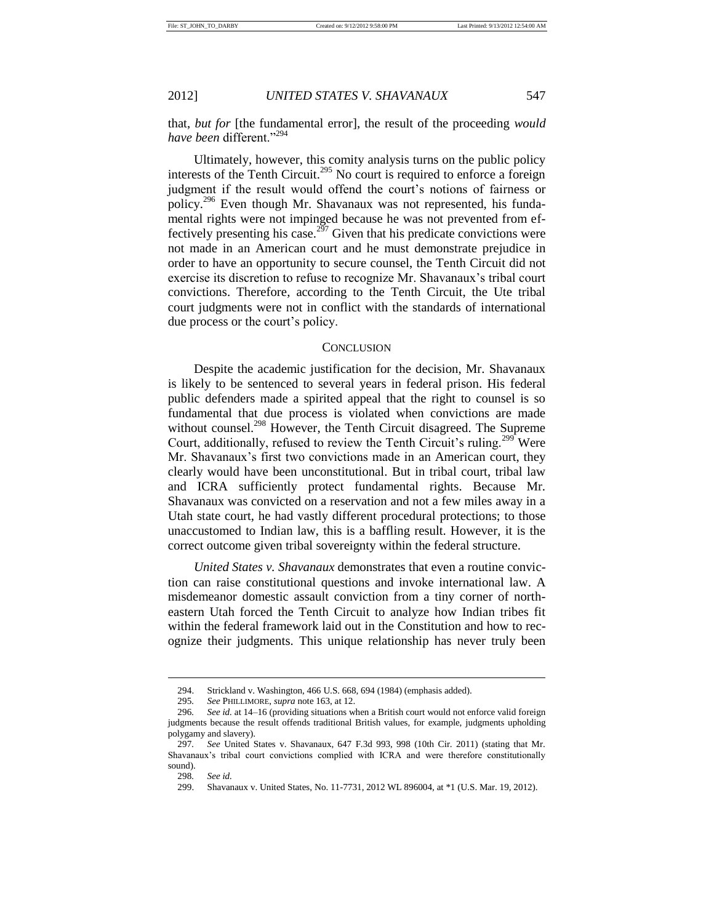that, *but for* [the fundamental error], the result of the proceeding *would*  have been different."<sup>294</sup>

Ultimately, however, this comity analysis turns on the public policy interests of the Tenth Circuit.<sup>295</sup> No court is required to enforce a foreign judgment if the result would offend the court's notions of fairness or policy.<sup>296</sup> Even though Mr. Shavanaux was not represented, his fundamental rights were not impinged because he was not prevented from effectively presenting his case.<sup>297</sup> Given that his predicate convictions were not made in an American court and he must demonstrate prejudice in order to have an opportunity to secure counsel, the Tenth Circuit did not exercise its discretion to refuse to recognize Mr. Shavanaux's tribal court convictions. Therefore, according to the Tenth Circuit, the Ute tribal court judgments were not in conflict with the standards of international due process or the court's policy.

### **CONCLUSION**

Despite the academic justification for the decision, Mr. Shavanaux is likely to be sentenced to several years in federal prison. His federal public defenders made a spirited appeal that the right to counsel is so fundamental that due process is violated when convictions are made without counsel.<sup>298</sup> However, the Tenth Circuit disagreed. The Supreme Court, additionally, refused to review the Tenth Circuit's ruling.<sup>299</sup> Were Mr. Shavanaux's first two convictions made in an American court, they clearly would have been unconstitutional. But in tribal court, tribal law and ICRA sufficiently protect fundamental rights. Because Mr. Shavanaux was convicted on a reservation and not a few miles away in a Utah state court, he had vastly different procedural protections; to those unaccustomed to Indian law, this is a baffling result. However, it is the correct outcome given tribal sovereignty within the federal structure.

*United States v. Shavanaux* demonstrates that even a routine conviction can raise constitutional questions and invoke international law. A misdemeanor domestic assault conviction from a tiny corner of northeastern Utah forced the Tenth Circuit to analyze how Indian tribes fit within the federal framework laid out in the Constitution and how to recognize their judgments. This unique relationship has never truly been

<sup>294.</sup> Strickland v. Washington, 466 U.S. 668, 694 (1984) (emphasis added).

<sup>295</sup>*. See* PHILLIMORE, *supra* note 163, at 12.

<sup>296</sup>*. See id.* at 14–16 (providing situations when a British court would not enforce valid foreign judgments because the result offends traditional British values, for example, judgments upholding polygamy and slavery).

<sup>297</sup>*. See* United States v. Shavanaux, 647 F.3d 993, 998 (10th Cir. 2011) (stating that Mr. Shavanaux's tribal court convictions complied with ICRA and were therefore constitutionally sound).

<sup>298</sup>*. See id.*

<sup>299.</sup> Shavanaux v. United States, No. 11-7731, 2012 WL 896004, at \*1 (U.S. Mar. 19, 2012).